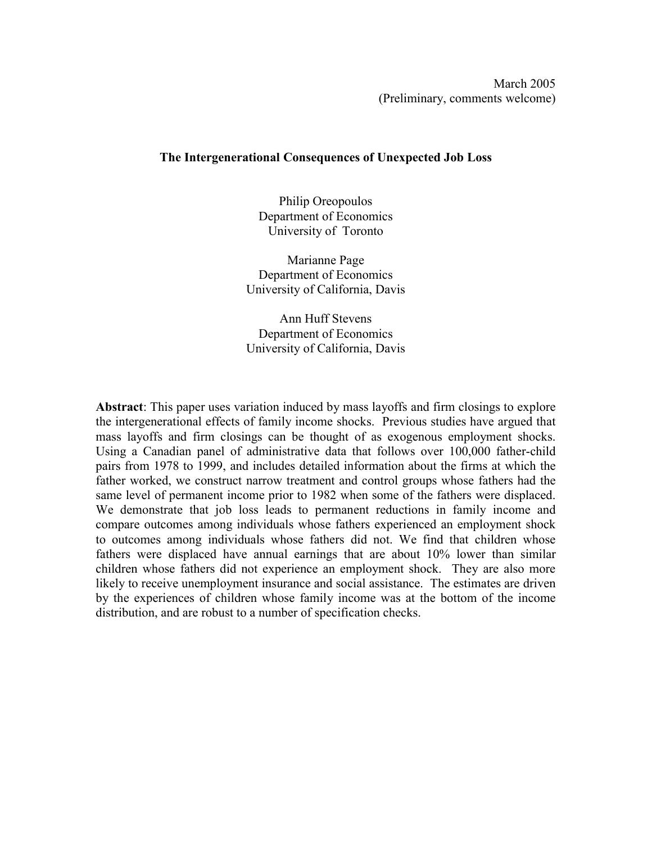# **The Intergenerational Consequences of Unexpected Job Loss**

Philip Oreopoulos Department of Economics University of Toronto

Marianne Page Department of Economics University of California, Davis

Ann Huff Stevens Department of Economics University of California, Davis

**Abstract**: This paper uses variation induced by mass layoffs and firm closings to explore the intergenerational effects of family income shocks. Previous studies have argued that mass layoffs and firm closings can be thought of as exogenous employment shocks. Using a Canadian panel of administrative data that follows over 100,000 father-child pairs from 1978 to 1999, and includes detailed information about the firms at which the father worked, we construct narrow treatment and control groups whose fathers had the same level of permanent income prior to 1982 when some of the fathers were displaced. We demonstrate that job loss leads to permanent reductions in family income and compare outcomes among individuals whose fathers experienced an employment shock to outcomes among individuals whose fathers did not. We find that children whose fathers were displaced have annual earnings that are about 10% lower than similar children whose fathers did not experience an employment shock. They are also more likely to receive unemployment insurance and social assistance. The estimates are driven by the experiences of children whose family income was at the bottom of the income distribution, and are robust to a number of specification checks.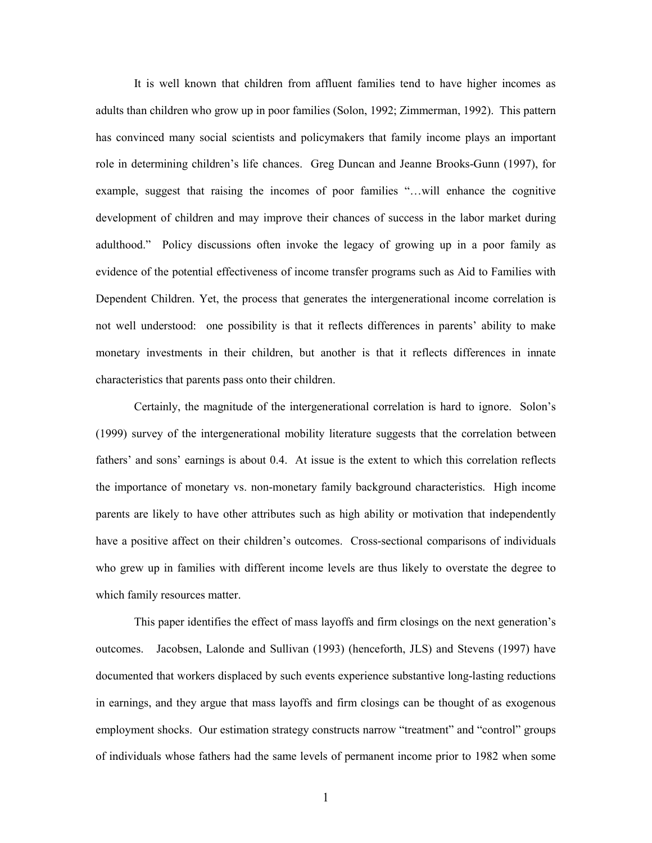It is well known that children from affluent families tend to have higher incomes as adults than children who grow up in poor families (Solon, 1992; Zimmerman, 1992). This pattern has convinced many social scientists and policymakers that family income plays an important role in determining children's life chances. Greg Duncan and Jeanne Brooks-Gunn (1997), for example, suggest that raising the incomes of poor families "…will enhance the cognitive development of children and may improve their chances of success in the labor market during adulthood." Policy discussions often invoke the legacy of growing up in a poor family as evidence of the potential effectiveness of income transfer programs such as Aid to Families with Dependent Children. Yet, the process that generates the intergenerational income correlation is not well understood: one possibility is that it reflects differences in parents' ability to make monetary investments in their children, but another is that it reflects differences in innate characteristics that parents pass onto their children.

 Certainly, the magnitude of the intergenerational correlation is hard to ignore. Solon's (1999) survey of the intergenerational mobility literature suggests that the correlation between fathers' and sons' earnings is about 0.4. At issue is the extent to which this correlation reflects the importance of monetary vs. non-monetary family background characteristics. High income parents are likely to have other attributes such as high ability or motivation that independently have a positive affect on their children's outcomes. Cross-sectional comparisons of individuals who grew up in families with different income levels are thus likely to overstate the degree to which family resources matter.

 This paper identifies the effect of mass layoffs and firm closings on the next generation's outcomes. Jacobsen, Lalonde and Sullivan (1993) (henceforth, JLS) and Stevens (1997) have documented that workers displaced by such events experience substantive long-lasting reductions in earnings, and they argue that mass layoffs and firm closings can be thought of as exogenous employment shocks. Our estimation strategy constructs narrow "treatment" and "control" groups of individuals whose fathers had the same levels of permanent income prior to 1982 when some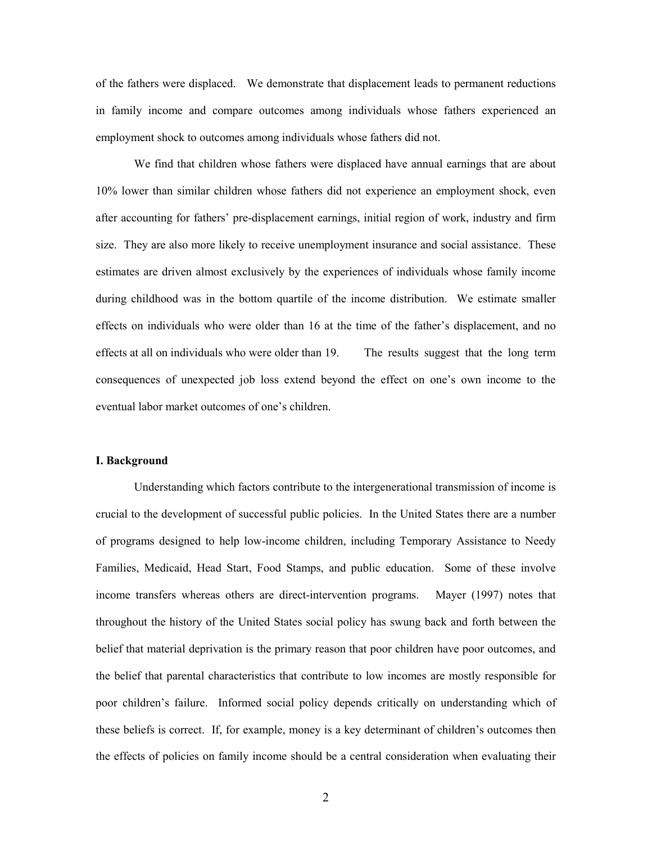of the fathers were displaced. We demonstrate that displacement leads to permanent reductions in family income and compare outcomes among individuals whose fathers experienced an employment shock to outcomes among individuals whose fathers did not.

 We find that children whose fathers were displaced have annual earnings that are about 10% lower than similar children whose fathers did not experience an employment shock, even after accounting for fathers' pre-displacement earnings, initial region of work, industry and firm size. They are also more likely to receive unemployment insurance and social assistance. These estimates are driven almost exclusively by the experiences of individuals whose family income during childhood was in the bottom quartile of the income distribution. We estimate smaller effects on individuals who were older than 16 at the time of the father's displacement, and no effects at all on individuals who were older than 19. The results suggest that the long term consequences of unexpected job loss extend beyond the effect on one's own income to the eventual labor market outcomes of one's children.

### **I. Background**

 Understanding which factors contribute to the intergenerational transmission of income is crucial to the development of successful public policies. In the United States there are a number of programs designed to help low-income children, including Temporary Assistance to Needy Families, Medicaid, Head Start, Food Stamps, and public education. Some of these involve income transfers whereas others are direct-intervention programs. Mayer (1997) notes that throughout the history of the United States social policy has swung back and forth between the belief that material deprivation is the primary reason that poor children have poor outcomes, and the belief that parental characteristics that contribute to low incomes are mostly responsible for poor children's failure. Informed social policy depends critically on understanding which of these beliefs is correct. If, for example, money is a key determinant of children's outcomes then the effects of policies on family income should be a central consideration when evaluating their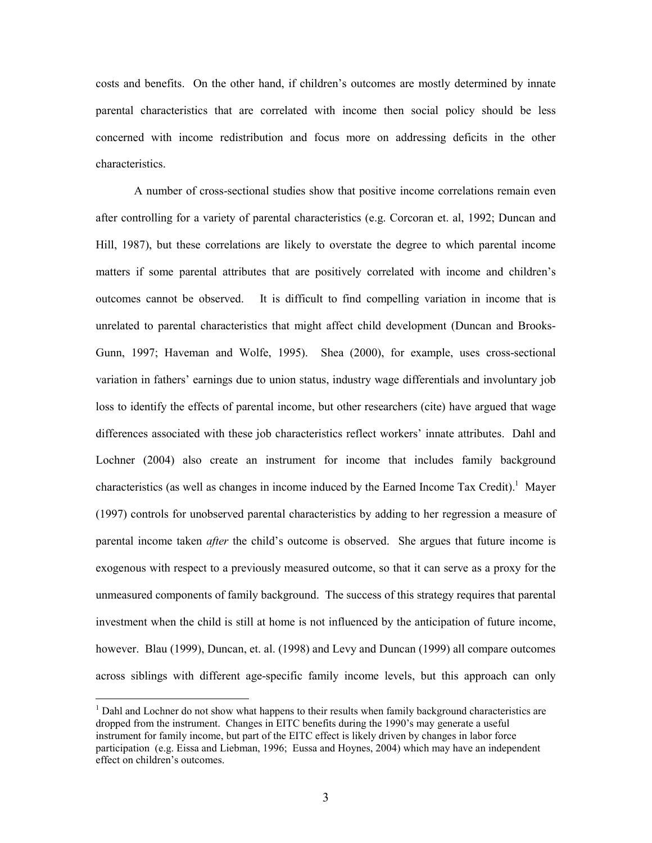costs and benefits. On the other hand, if children's outcomes are mostly determined by innate parental characteristics that are correlated with income then social policy should be less concerned with income redistribution and focus more on addressing deficits in the other characteristics.

 A number of cross-sectional studies show that positive income correlations remain even after controlling for a variety of parental characteristics (e.g. Corcoran et. al, 1992; Duncan and Hill, 1987), but these correlations are likely to overstate the degree to which parental income matters if some parental attributes that are positively correlated with income and children's outcomes cannot be observed. It is difficult to find compelling variation in income that is unrelated to parental characteristics that might affect child development (Duncan and Brooks-Gunn, 1997; Haveman and Wolfe, 1995). Shea (2000), for example, uses cross-sectional variation in fathers' earnings due to union status, industry wage differentials and involuntary job loss to identify the effects of parental income, but other researchers (cite) have argued that wage differences associated with these job characteristics reflect workers' innate attributes. Dahl and Lochner (2004) also create an instrument for income that includes family background characteristics (as well as changes in income induced by the Earned Income Tax Credit).<sup>1</sup> Mayer (1997) controls for unobserved parental characteristics by adding to her regression a measure of parental income taken *after* the child's outcome is observed. She argues that future income is exogenous with respect to a previously measured outcome, so that it can serve as a proxy for the unmeasured components of family background. The success of this strategy requires that parental investment when the child is still at home is not influenced by the anticipation of future income, however. Blau (1999), Duncan, et. al. (1998) and Levy and Duncan (1999) all compare outcomes across siblings with different age-specific family income levels, but this approach can only

 $\overline{a}$ 

 $<sup>1</sup>$  Dahl and Lochner do not show what happens to their results when family background characteristics are</sup> dropped from the instrument. Changes in EITC benefits during the 1990's may generate a useful instrument for family income, but part of the EITC effect is likely driven by changes in labor force participation (e.g. Eissa and Liebman, 1996; Eussa and Hoynes, 2004) which may have an independent effect on children's outcomes.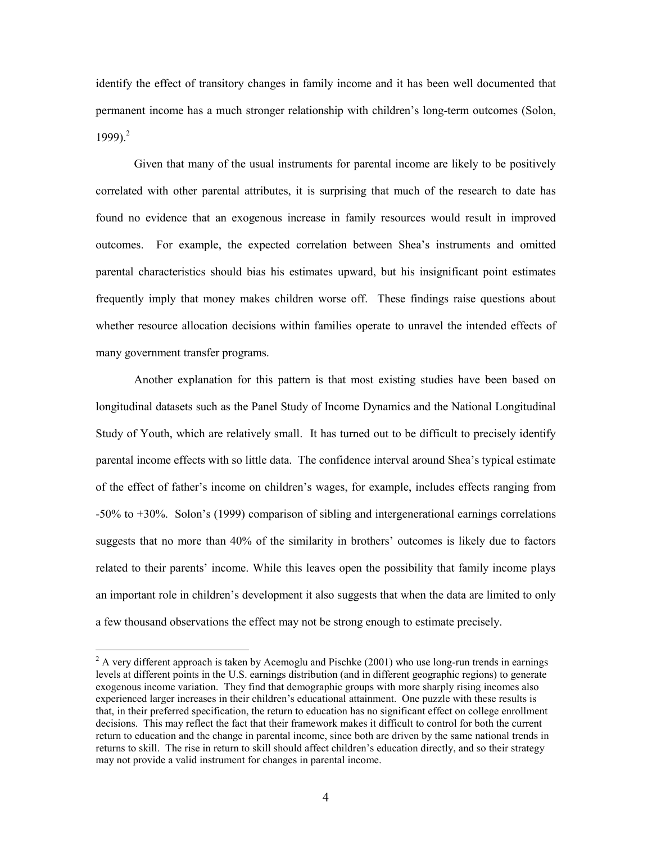identify the effect of transitory changes in family income and it has been well documented that permanent income has a much stronger relationship with children's long-term outcomes (Solon, 1999).<sup>2</sup>

 Given that many of the usual instruments for parental income are likely to be positively correlated with other parental attributes, it is surprising that much of the research to date has found no evidence that an exogenous increase in family resources would result in improved outcomes. For example, the expected correlation between Shea's instruments and omitted parental characteristics should bias his estimates upward, but his insignificant point estimates frequently imply that money makes children worse off. These findings raise questions about whether resource allocation decisions within families operate to unravel the intended effects of many government transfer programs.

 Another explanation for this pattern is that most existing studies have been based on longitudinal datasets such as the Panel Study of Income Dynamics and the National Longitudinal Study of Youth, which are relatively small. It has turned out to be difficult to precisely identify parental income effects with so little data. The confidence interval around Shea's typical estimate of the effect of father's income on children's wages, for example, includes effects ranging from -50% to +30%. Solon's (1999) comparison of sibling and intergenerational earnings correlations suggests that no more than 40% of the similarity in brothers' outcomes is likely due to factors related to their parents' income. While this leaves open the possibility that family income plays an important role in children's development it also suggests that when the data are limited to only a few thousand observations the effect may not be strong enough to estimate precisely.

 $\overline{a}$ 

 $2^2$  A very different approach is taken by Acemoglu and Pischke (2001) who use long-run trends in earnings levels at different points in the U.S. earnings distribution (and in different geographic regions) to generate exogenous income variation. They find that demographic groups with more sharply rising incomes also experienced larger increases in their children's educational attainment. One puzzle with these results is that, in their preferred specification, the return to education has no significant effect on college enrollment decisions. This may reflect the fact that their framework makes it difficult to control for both the current return to education and the change in parental income, since both are driven by the same national trends in returns to skill. The rise in return to skill should affect children's education directly, and so their strategy may not provide a valid instrument for changes in parental income.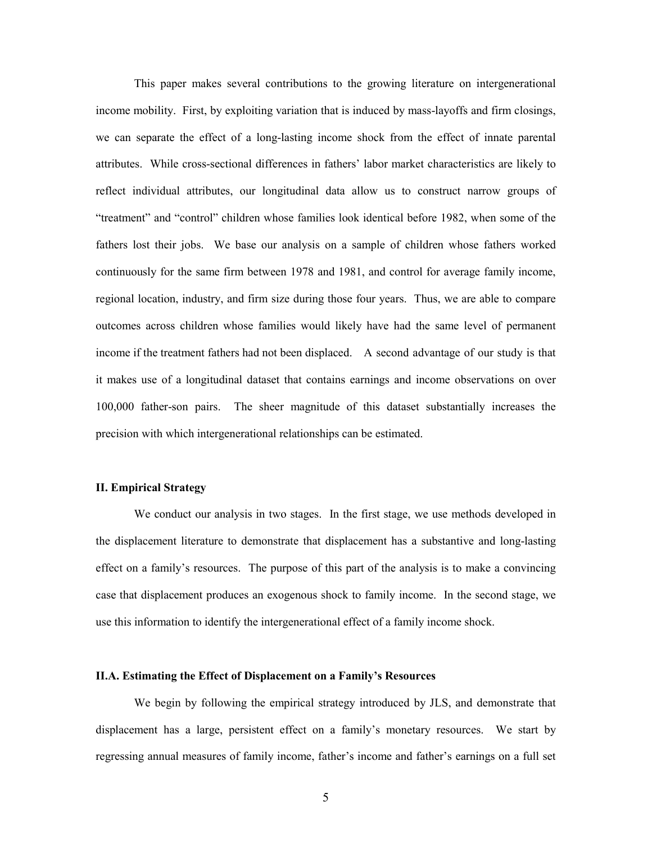This paper makes several contributions to the growing literature on intergenerational income mobility. First, by exploiting variation that is induced by mass-layoffs and firm closings, we can separate the effect of a long-lasting income shock from the effect of innate parental attributes. While cross-sectional differences in fathers' labor market characteristics are likely to reflect individual attributes, our longitudinal data allow us to construct narrow groups of "treatment" and "control" children whose families look identical before 1982, when some of the fathers lost their jobs. We base our analysis on a sample of children whose fathers worked continuously for the same firm between 1978 and 1981, and control for average family income, regional location, industry, and firm size during those four years. Thus, we are able to compare outcomes across children whose families would likely have had the same level of permanent income if the treatment fathers had not been displaced. A second advantage of our study is that it makes use of a longitudinal dataset that contains earnings and income observations on over 100,000 father-son pairs. The sheer magnitude of this dataset substantially increases the precision with which intergenerational relationships can be estimated.

## **II. Empirical Strategy**

We conduct our analysis in two stages. In the first stage, we use methods developed in the displacement literature to demonstrate that displacement has a substantive and long-lasting effect on a family's resources. The purpose of this part of the analysis is to make a convincing case that displacement produces an exogenous shock to family income. In the second stage, we use this information to identify the intergenerational effect of a family income shock.

### **II.A. Estimating the Effect of Displacement on a Family's Resources**

 We begin by following the empirical strategy introduced by JLS, and demonstrate that displacement has a large, persistent effect on a family's monetary resources. We start by regressing annual measures of family income, father's income and father's earnings on a full set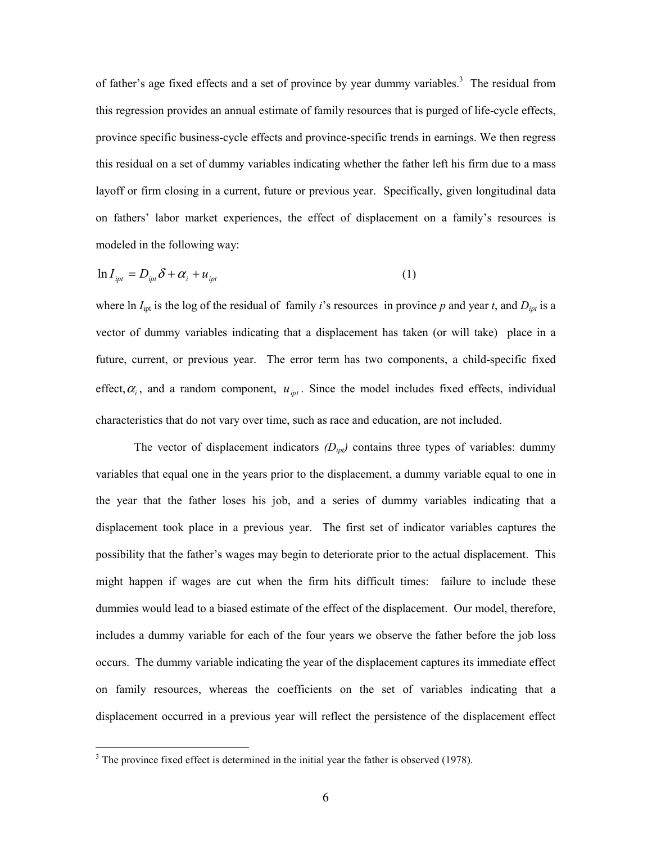of father's age fixed effects and a set of province by year dummy variables.<sup>3</sup> The residual from this regression provides an annual estimate of family resources that is purged of life-cycle effects, province specific business-cycle effects and province-specific trends in earnings. We then regress this residual on a set of dummy variables indicating whether the father left his firm due to a mass layoff or firm closing in a current, future or previous year. Specifically, given longitudinal data on fathers' labor market experiences, the effect of displacement on a family's resources is modeled in the following way:

$$
\ln I_{\text{ipt}} = D_{\text{ipt}} \delta + \alpha_i + u_{\text{ipt}} \tag{1}
$$

where ln  $I_{\text{ipt}}$  is the log of the residual of family *i*'s resources in province *p* and year *t*, and  $D_{\text{ipt}}$  is a vector of dummy variables indicating that a displacement has taken (or will take) place in a future, current, or previous year. The error term has two components, a child-specific fixed effect,  $\alpha_i$ , and a random component,  $u_{\text{int}}$ . Since the model includes fixed effects, individual characteristics that do not vary over time, such as race and education, are not included.

The vector of displacement indicators  $(D_{ipl})$  contains three types of variables: dummy variables that equal one in the years prior to the displacement, a dummy variable equal to one in the year that the father loses his job, and a series of dummy variables indicating that a displacement took place in a previous year. The first set of indicator variables captures the possibility that the father's wages may begin to deteriorate prior to the actual displacement. This might happen if wages are cut when the firm hits difficult times: failure to include these dummies would lead to a biased estimate of the effect of the displacement. Our model, therefore, includes a dummy variable for each of the four years we observe the father before the job loss occurs. The dummy variable indicating the year of the displacement captures its immediate effect on family resources, whereas the coefficients on the set of variables indicating that a displacement occurred in a previous year will reflect the persistence of the displacement effect

 $\overline{a}$ 

 $3$  The province fixed effect is determined in the initial year the father is observed (1978).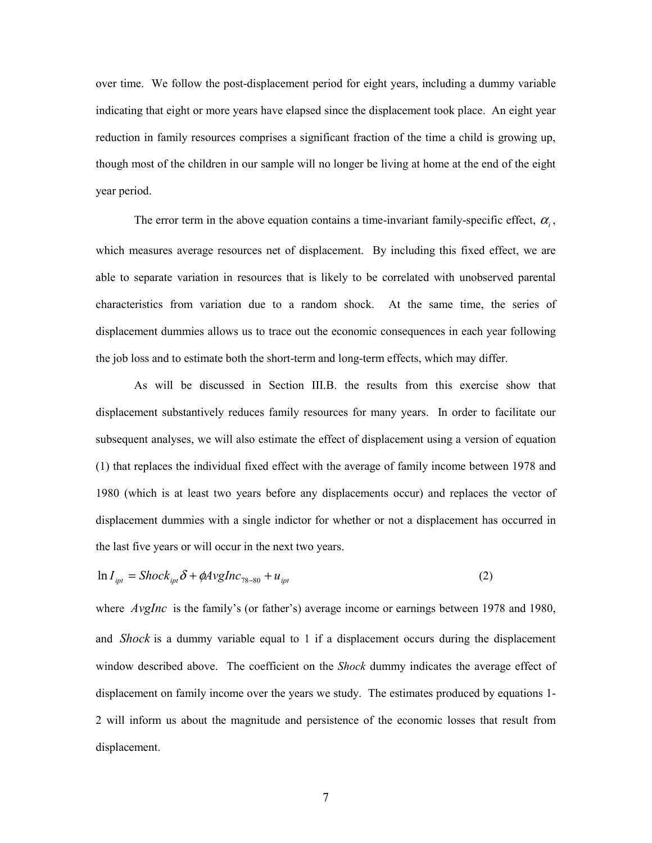over time. We follow the post-displacement period for eight years, including a dummy variable indicating that eight or more years have elapsed since the displacement took place. An eight year reduction in family resources comprises a significant fraction of the time a child is growing up, though most of the children in our sample will no longer be living at home at the end of the eight year period.

The error term in the above equation contains a time-invariant family-specific effect,  $\alpha_i$ , which measures average resources net of displacement. By including this fixed effect, we are able to separate variation in resources that is likely to be correlated with unobserved parental characteristics from variation due to a random shock. At the same time, the series of displacement dummies allows us to trace out the economic consequences in each year following the job loss and to estimate both the short-term and long-term effects, which may differ.

 As will be discussed in Section III.B. the results from this exercise show that displacement substantively reduces family resources for many years. In order to facilitate our subsequent analyses, we will also estimate the effect of displacement using a version of equation (1) that replaces the individual fixed effect with the average of family income between 1978 and 1980 (which is at least two years before any displacements occur) and replaces the vector of displacement dummies with a single indictor for whether or not a displacement has occurred in the last five years or will occur in the next two years.

$$
\ln I_{\text{ipt}} = \text{Shock}_{\text{ipt}} \delta + \phi A \text{vglnc}_{78-80} + u_{\text{ipt}} \tag{2}
$$

where *AvgInc* is the family's (or father's) average income or earnings between 1978 and 1980, and *Shock* is a dummy variable equal to 1 if a displacement occurs during the displacement window described above. The coefficient on the *Shock* dummy indicates the average effect of displacement on family income over the years we study. The estimates produced by equations 1- 2 will inform us about the magnitude and persistence of the economic losses that result from displacement.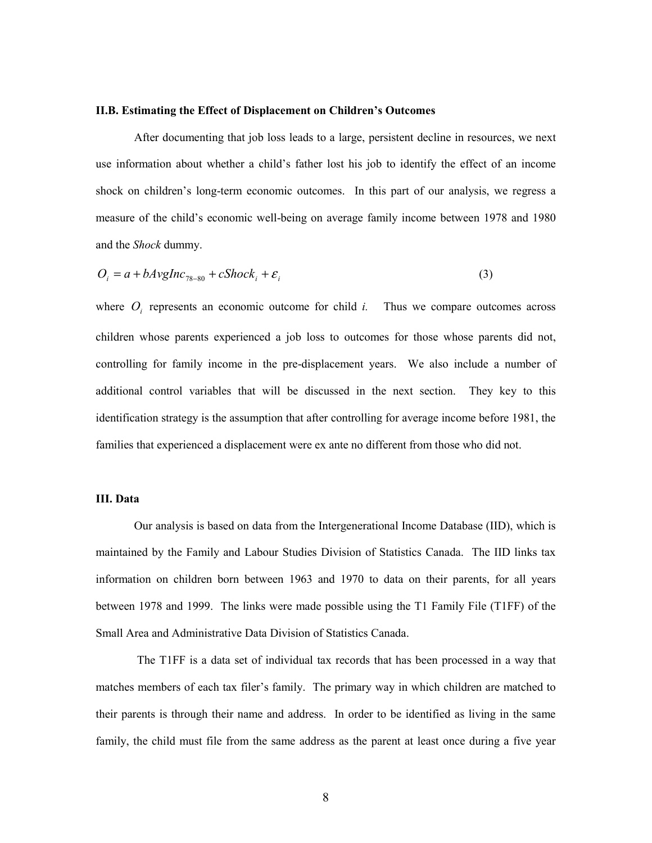## **II.B. Estimating the Effect of Displacement on Children's Outcomes**

 After documenting that job loss leads to a large, persistent decline in resources, we next use information about whether a child's father lost his job to identify the effect of an income shock on children's long-term economic outcomes. In this part of our analysis, we regress a measure of the child's economic well-being on average family income between 1978 and 1980 and the *Shock* dummy.

$$
O_i = a + bAvgInc_{78-80} + cShock_i + \varepsilon_i
$$
\n(3)

where  $O_i$  represents an economic outcome for child *i*. Thus we compare outcomes across children whose parents experienced a job loss to outcomes for those whose parents did not, controlling for family income in the pre-displacement years. We also include a number of additional control variables that will be discussed in the next section. They key to this identification strategy is the assumption that after controlling for average income before 1981, the families that experienced a displacement were ex ante no different from those who did not.

## **III. Data**

 Our analysis is based on data from the Intergenerational Income Database (IID), which is maintained by the Family and Labour Studies Division of Statistics Canada. The IID links tax information on children born between 1963 and 1970 to data on their parents, for all years between 1978 and 1999. The links were made possible using the T1 Family File (T1FF) of the Small Area and Administrative Data Division of Statistics Canada.

 The T1FF is a data set of individual tax records that has been processed in a way that matches members of each tax filer's family. The primary way in which children are matched to their parents is through their name and address. In order to be identified as living in the same family, the child must file from the same address as the parent at least once during a five year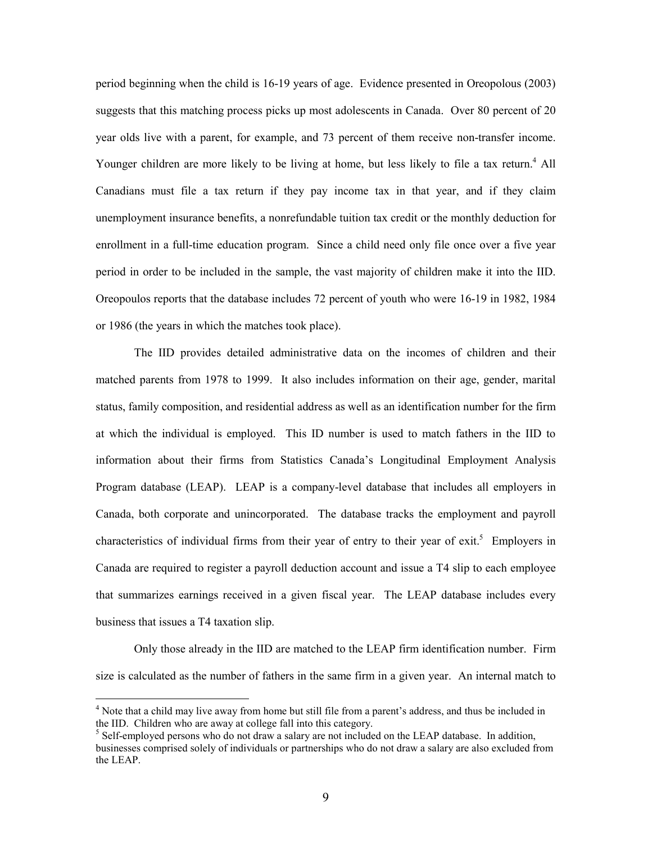period beginning when the child is 16-19 years of age. Evidence presented in Oreopolous (2003) suggests that this matching process picks up most adolescents in Canada. Over 80 percent of 20 year olds live with a parent, for example, and 73 percent of them receive non-transfer income. Younger children are more likely to be living at home, but less likely to file a tax return.<sup>4</sup> All Canadians must file a tax return if they pay income tax in that year, and if they claim unemployment insurance benefits, a nonrefundable tuition tax credit or the monthly deduction for enrollment in a full-time education program. Since a child need only file once over a five year period in order to be included in the sample, the vast majority of children make it into the IID. Oreopoulos reports that the database includes 72 percent of youth who were 16-19 in 1982, 1984 or 1986 (the years in which the matches took place).

 The IID provides detailed administrative data on the incomes of children and their matched parents from 1978 to 1999. It also includes information on their age, gender, marital status, family composition, and residential address as well as an identification number for the firm at which the individual is employed. This ID number is used to match fathers in the IID to information about their firms from Statistics Canada's Longitudinal Employment Analysis Program database (LEAP). LEAP is a company-level database that includes all employers in Canada, both corporate and unincorporated. The database tracks the employment and payroll characteristics of individual firms from their year of entry to their year of exit.<sup>5</sup> Employers in Canada are required to register a payroll deduction account and issue a T4 slip to each employee that summarizes earnings received in a given fiscal year. The LEAP database includes every business that issues a T4 taxation slip.

Only those already in the IID are matched to the LEAP firm identification number. Firm size is calculated as the number of fathers in the same firm in a given year. An internal match to

 $\overline{a}$ 

<sup>&</sup>lt;sup>4</sup> Note that a child may live away from home but still file from a parent's address, and thus be included in the IID. Children who are away at college fall into this category.

<sup>&</sup>lt;sup>5</sup> Self-employed persons who do not draw a salary are not included on the LEAP database. In addition, businesses comprised solely of individuals or partnerships who do not draw a salary are also excluded from the LEAP.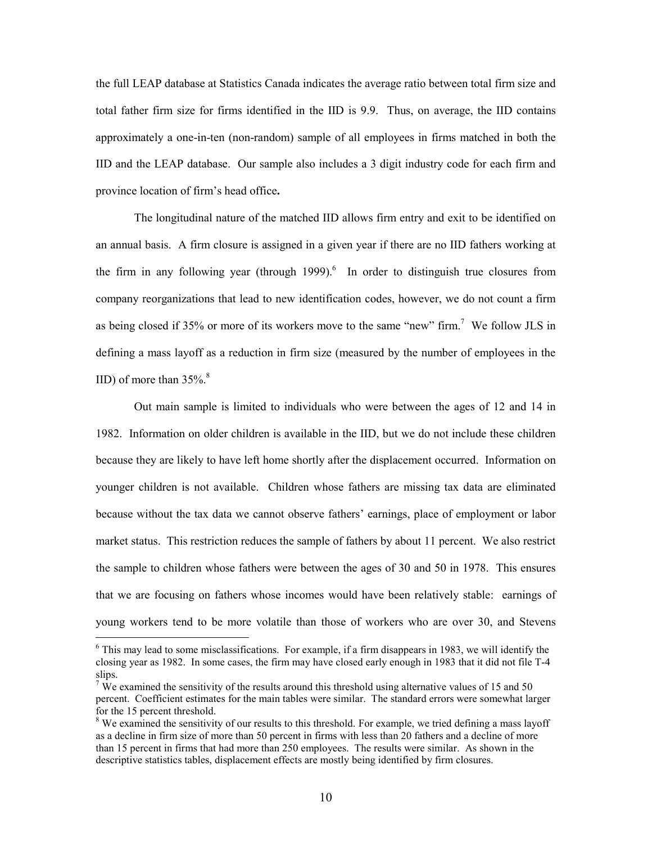the full LEAP database at Statistics Canada indicates the average ratio between total firm size and total father firm size for firms identified in the IID is 9.9. Thus, on average, the IID contains approximately a one-in-ten (non-random) sample of all employees in firms matched in both the IID and the LEAP database. Our sample also includes a 3 digit industry code for each firm and province location of firm's head office**.** 

The longitudinal nature of the matched IID allows firm entry and exit to be identified on an annual basis. A firm closure is assigned in a given year if there are no IID fathers working at the firm in any following year (through  $1999$ ).<sup>6</sup> In order to distinguish true closures from company reorganizations that lead to new identification codes, however, we do not count a firm as being closed if 35% or more of its workers move to the same "new" firm.<sup>7</sup> We follow JLS in defining a mass layoff as a reduction in firm size (measured by the number of employees in the IID) of more than  $35\%$ .<sup>8</sup>

Out main sample is limited to individuals who were between the ages of 12 and 14 in 1982. Information on older children is available in the IID, but we do not include these children because they are likely to have left home shortly after the displacement occurred. Information on younger children is not available. Children whose fathers are missing tax data are eliminated because without the tax data we cannot observe fathers' earnings, place of employment or labor market status. This restriction reduces the sample of fathers by about 11 percent. We also restrict the sample to children whose fathers were between the ages of 30 and 50 in 1978. This ensures that we are focusing on fathers whose incomes would have been relatively stable: earnings of young workers tend to be more volatile than those of workers who are over 30, and Stevens

 $\overline{a}$ 

<sup>&</sup>lt;sup>6</sup> This may lead to some misclassifications. For example, if a firm disappears in 1983, we will identify the closing year as 1982. In some cases, the firm may have closed early enough in 1983 that it did not file T-4 slips.

<sup>&</sup>lt;sup>7</sup> We examined the sensitivity of the results around this threshold using alternative values of 15 and 50 percent. Coefficient estimates for the main tables were similar. The standard errors were somewhat larger for the 15 percent threshold.

<sup>&</sup>lt;sup>8</sup> We examined the sensitivity of our results to this threshold. For example, we tried defining a mass layoff as a decline in firm size of more than 50 percent in firms with less than 20 fathers and a decline of more than 15 percent in firms that had more than 250 employees. The results were similar. As shown in the descriptive statistics tables, displacement effects are mostly being identified by firm closures.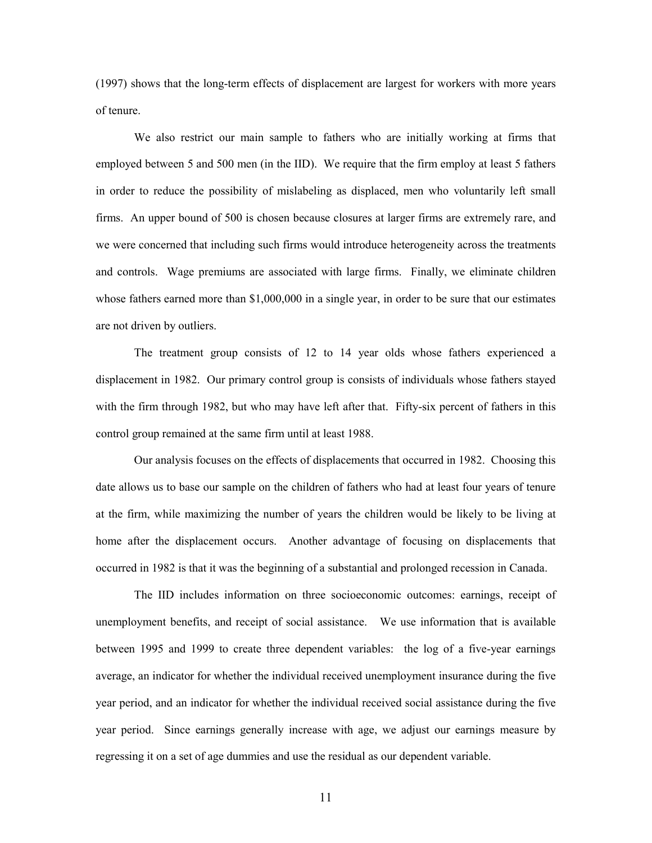(1997) shows that the long-term effects of displacement are largest for workers with more years of tenure.

We also restrict our main sample to fathers who are initially working at firms that employed between 5 and 500 men (in the IID). We require that the firm employ at least 5 fathers in order to reduce the possibility of mislabeling as displaced, men who voluntarily left small firms. An upper bound of 500 is chosen because closures at larger firms are extremely rare, and we were concerned that including such firms would introduce heterogeneity across the treatments and controls. Wage premiums are associated with large firms. Finally, we eliminate children whose fathers earned more than \$1,000,000 in a single year, in order to be sure that our estimates are not driven by outliers.

The treatment group consists of 12 to 14 year olds whose fathers experienced a displacement in 1982. Our primary control group is consists of individuals whose fathers stayed with the firm through 1982, but who may have left after that. Fifty-six percent of fathers in this control group remained at the same firm until at least 1988.

 Our analysis focuses on the effects of displacements that occurred in 1982. Choosing this date allows us to base our sample on the children of fathers who had at least four years of tenure at the firm, while maximizing the number of years the children would be likely to be living at home after the displacement occurs. Another advantage of focusing on displacements that occurred in 1982 is that it was the beginning of a substantial and prolonged recession in Canada.

 The IID includes information on three socioeconomic outcomes: earnings, receipt of unemployment benefits, and receipt of social assistance. We use information that is available between 1995 and 1999 to create three dependent variables: the log of a five-year earnings average, an indicator for whether the individual received unemployment insurance during the five year period, and an indicator for whether the individual received social assistance during the five year period. Since earnings generally increase with age, we adjust our earnings measure by regressing it on a set of age dummies and use the residual as our dependent variable.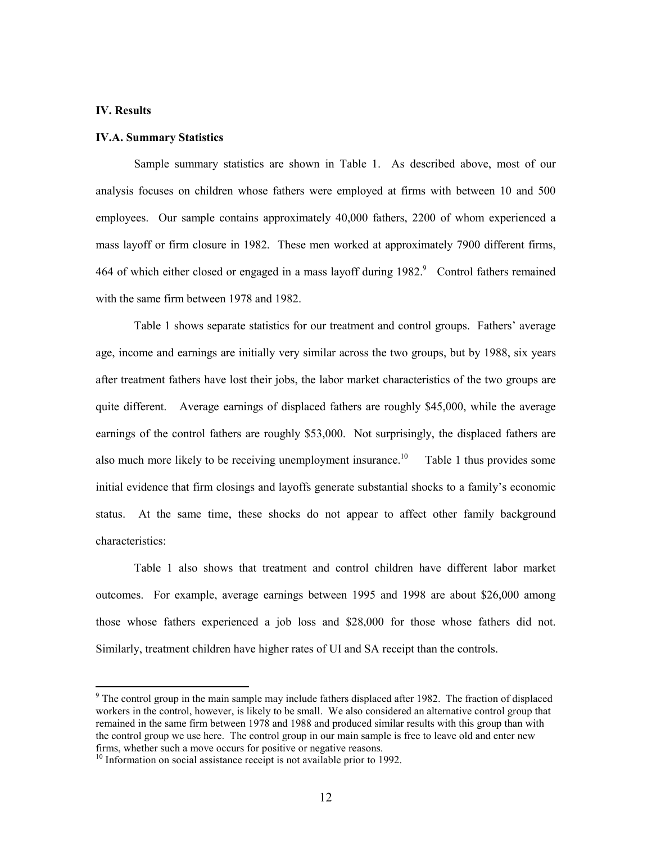#### **IV. Results**

 $\overline{a}$ 

### **IV.A. Summary Statistics**

 Sample summary statistics are shown in Table 1. As described above, most of our analysis focuses on children whose fathers were employed at firms with between 10 and 500 employees. Our sample contains approximately 40,000 fathers, 2200 of whom experienced a mass layoff or firm closure in 1982. These men worked at approximately 7900 different firms, 464 of which either closed or engaged in a mass layoff during  $1982$ . Control fathers remained with the same firm between 1978 and 1982.

 Table 1 shows separate statistics for our treatment and control groups. Fathers' average age, income and earnings are initially very similar across the two groups, but by 1988, six years after treatment fathers have lost their jobs, the labor market characteristics of the two groups are quite different. Average earnings of displaced fathers are roughly \$45,000, while the average earnings of the control fathers are roughly \$53,000. Not surprisingly, the displaced fathers are also much more likely to be receiving unemployment insurance.<sup>10</sup> Table 1 thus provides some initial evidence that firm closings and layoffs generate substantial shocks to a family's economic status. At the same time, these shocks do not appear to affect other family background characteristics:

Table 1 also shows that treatment and control children have different labor market outcomes. For example, average earnings between 1995 and 1998 are about \$26,000 among those whose fathers experienced a job loss and \$28,000 for those whose fathers did not. Similarly, treatment children have higher rates of UI and SA receipt than the controls.

 $9$  The control group in the main sample may include fathers displaced after 1982. The fraction of displaced workers in the control, however, is likely to be small. We also considered an alternative control group that remained in the same firm between 1978 and 1988 and produced similar results with this group than with the control group we use here. The control group in our main sample is free to leave old and enter new firms, whether such a move occurs for positive or negative reasons.

<sup>&</sup>lt;sup>10</sup> Information on social assistance receipt is not available prior to 1992.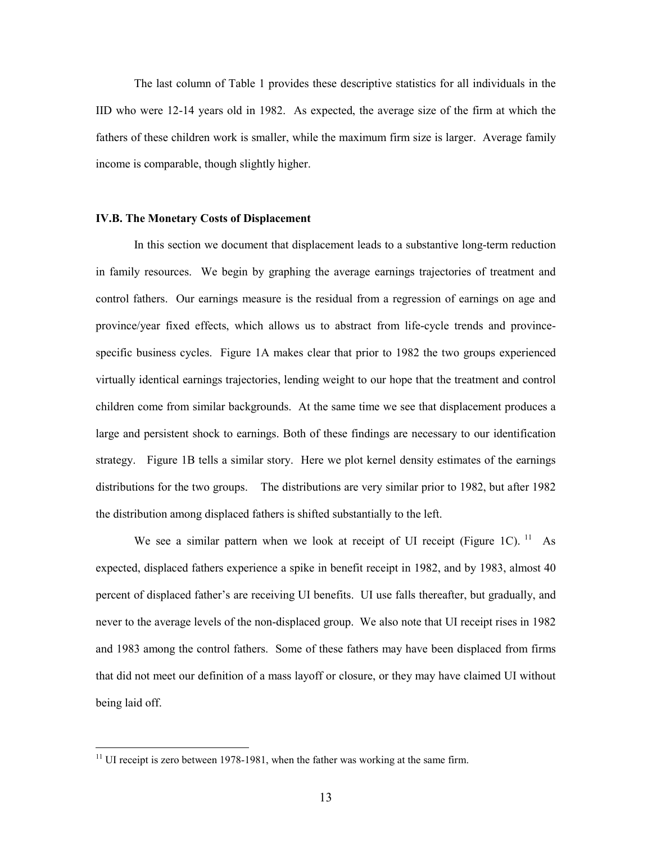The last column of Table 1 provides these descriptive statistics for all individuals in the IID who were 12-14 years old in 1982. As expected, the average size of the firm at which the fathers of these children work is smaller, while the maximum firm size is larger. Average family income is comparable, though slightly higher.

#### **IV.B. The Monetary Costs of Displacement**

In this section we document that displacement leads to a substantive long-term reduction in family resources. We begin by graphing the average earnings trajectories of treatment and control fathers. Our earnings measure is the residual from a regression of earnings on age and province/year fixed effects, which allows us to abstract from life-cycle trends and provincespecific business cycles. Figure 1A makes clear that prior to 1982 the two groups experienced virtually identical earnings trajectories, lending weight to our hope that the treatment and control children come from similar backgrounds. At the same time we see that displacement produces a large and persistent shock to earnings. Both of these findings are necessary to our identification strategy. Figure 1B tells a similar story. Here we plot kernel density estimates of the earnings distributions for the two groups. The distributions are very similar prior to 1982, but after 1982 the distribution among displaced fathers is shifted substantially to the left.

We see a similar pattern when we look at receipt of UI receipt (Figure 1C).  $^{11}$  As expected, displaced fathers experience a spike in benefit receipt in 1982, and by 1983, almost 40 percent of displaced father's are receiving UI benefits. UI use falls thereafter, but gradually, and never to the average levels of the non-displaced group. We also note that UI receipt rises in 1982 and 1983 among the control fathers. Some of these fathers may have been displaced from firms that did not meet our definition of a mass layoff or closure, or they may have claimed UI without being laid off.

 $\overline{a}$ 

 $11$  UI receipt is zero between 1978-1981, when the father was working at the same firm.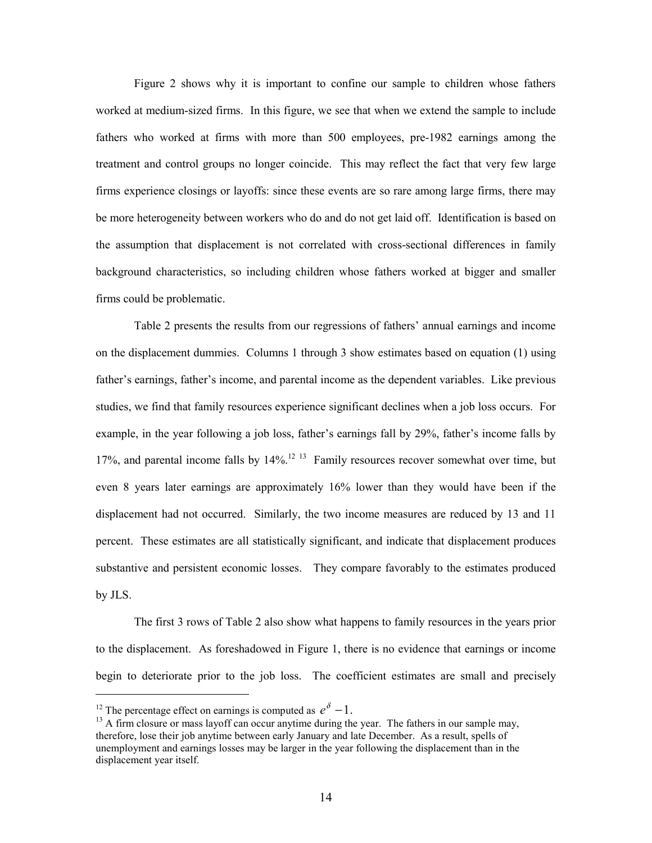Figure 2 shows why it is important to confine our sample to children whose fathers worked at medium-sized firms. In this figure, we see that when we extend the sample to include fathers who worked at firms with more than 500 employees, pre-1982 earnings among the treatment and control groups no longer coincide. This may reflect the fact that very few large firms experience closings or layoffs: since these events are so rare among large firms, there may be more heterogeneity between workers who do and do not get laid off. Identification is based on the assumption that displacement is not correlated with cross-sectional differences in family background characteristics, so including children whose fathers worked at bigger and smaller firms could be problematic.

 Table 2 presents the results from our regressions of fathers' annual earnings and income on the displacement dummies. Columns 1 through 3 show estimates based on equation (1) using father's earnings, father's income, and parental income as the dependent variables. Like previous studies, we find that family resources experience significant declines when a job loss occurs. For example, in the year following a job loss, father's earnings fall by 29%, father's income falls by 17%, and parental income falls by 14%.<sup>12 13</sup> Family resources recover somewhat over time, but even 8 years later earnings are approximately 16% lower than they would have been if the displacement had not occurred. Similarly, the two income measures are reduced by 13 and 11 percent. These estimates are all statistically significant, and indicate that displacement produces substantive and persistent economic losses. They compare favorably to the estimates produced by JLS.

The first 3 rows of Table 2 also show what happens to family resources in the years prior to the displacement. As foreshadowed in Figure 1, there is no evidence that earnings or income begin to deteriorate prior to the job loss. The coefficient estimates are small and precisely

 $\overline{a}$ 

<sup>&</sup>lt;sup>12</sup> The percentage effect on earnings is computed as  $e^{\delta} - 1$ .

 $<sup>13</sup>$  A firm closure or mass layoff can occur anytime during the year. The fathers in our sample may,</sup> therefore, lose their job anytime between early January and late December. As a result, spells of unemployment and earnings losses may be larger in the year following the displacement than in the displacement year itself.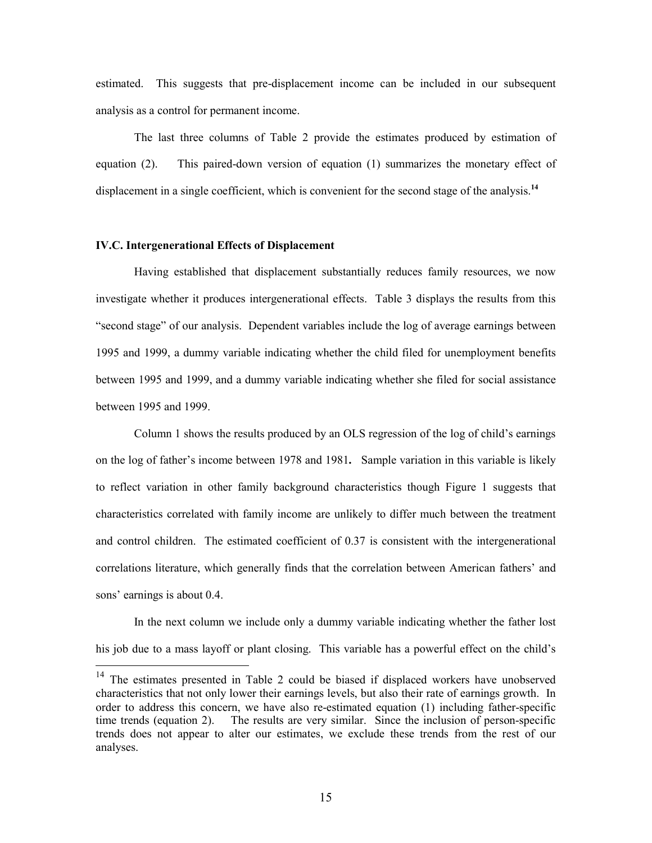estimated. This suggests that pre-displacement income can be included in our subsequent analysis as a control for permanent income.

 The last three columns of Table 2 provide the estimates produced by estimation of equation (2). This paired-down version of equation (1) summarizes the monetary effect of displacement in a single coefficient, which is convenient for the second stage of the analysis.<sup>14</sup>

## **IV.C. Intergenerational Effects of Displacement**

 $\overline{a}$ 

 Having established that displacement substantially reduces family resources, we now investigate whether it produces intergenerational effects. Table 3 displays the results from this "second stage" of our analysis. Dependent variables include the log of average earnings between 1995 and 1999, a dummy variable indicating whether the child filed for unemployment benefits between 1995 and 1999, and a dummy variable indicating whether she filed for social assistance between 1995 and 1999.

 Column 1 shows the results produced by an OLS regression of the log of child's earnings on the log of father's income between 1978 and 1981**.** Sample variation in this variable is likely to reflect variation in other family background characteristics though Figure 1 suggests that characteristics correlated with family income are unlikely to differ much between the treatment and control children. The estimated coefficient of 0.37 is consistent with the intergenerational correlations literature, which generally finds that the correlation between American fathers' and sons' earnings is about 0.4.

 In the next column we include only a dummy variable indicating whether the father lost his job due to a mass layoff or plant closing. This variable has a powerful effect on the child's

<sup>&</sup>lt;sup>14</sup> The estimates presented in Table 2 could be biased if displaced workers have unobserved characteristics that not only lower their earnings levels, but also their rate of earnings growth. In order to address this concern, we have also re-estimated equation (1) including father-specific time trends (equation 2). The results are very similar. Since the inclusion of person-specific trends does not appear to alter our estimates, we exclude these trends from the rest of our analyses.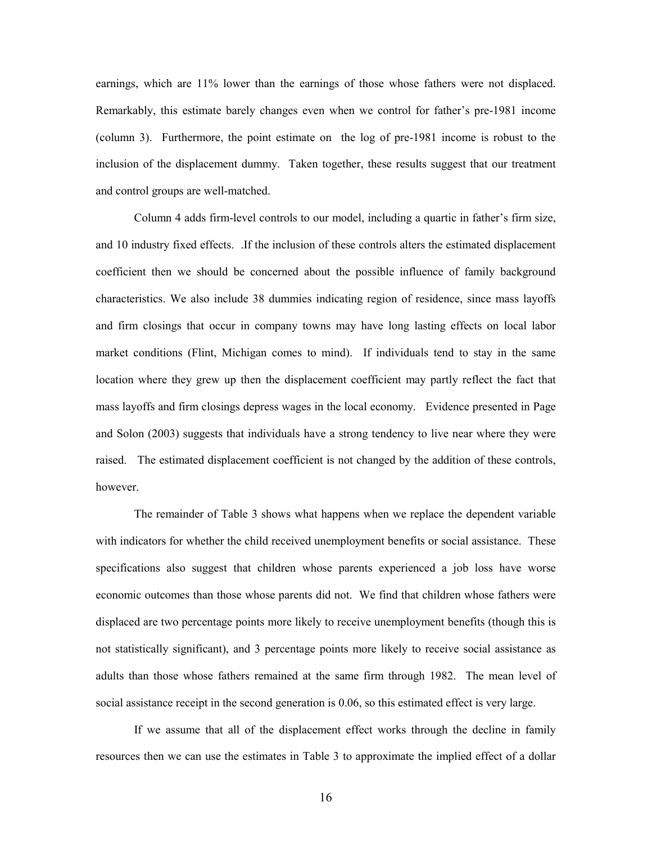earnings, which are 11% lower than the earnings of those whose fathers were not displaced. Remarkably, this estimate barely changes even when we control for father's pre-1981 income (column 3). Furthermore, the point estimate on the log of pre-1981 income is robust to the inclusion of the displacement dummy. Taken together, these results suggest that our treatment and control groups are well-matched.

 Column 4 adds firm-level controls to our model, including a quartic in father's firm size, and 10 industry fixed effects. .If the inclusion of these controls alters the estimated displacement coefficient then we should be concerned about the possible influence of family background characteristics. We also include 38 dummies indicating region of residence, since mass layoffs and firm closings that occur in company towns may have long lasting effects on local labor market conditions (Flint, Michigan comes to mind). If individuals tend to stay in the same location where they grew up then the displacement coefficient may partly reflect the fact that mass layoffs and firm closings depress wages in the local economy. Evidence presented in Page and Solon (2003) suggests that individuals have a strong tendency to live near where they were raised. The estimated displacement coefficient is not changed by the addition of these controls, however.

 The remainder of Table 3 shows what happens when we replace the dependent variable with indicators for whether the child received unemployment benefits or social assistance. These specifications also suggest that children whose parents experienced a job loss have worse economic outcomes than those whose parents did not. We find that children whose fathers were displaced are two percentage points more likely to receive unemployment benefits (though this is not statistically significant), and 3 percentage points more likely to receive social assistance as adults than those whose fathers remained at the same firm through 1982. The mean level of social assistance receipt in the second generation is 0.06, so this estimated effect is very large.

 If we assume that all of the displacement effect works through the decline in family resources then we can use the estimates in Table 3 to approximate the implied effect of a dollar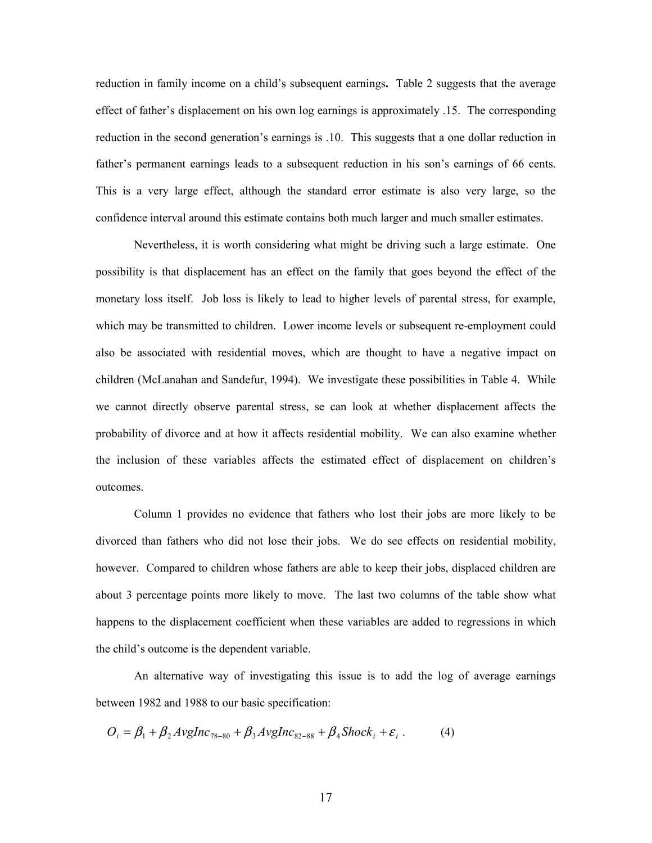reduction in family income on a child's subsequent earnings**.** Table 2 suggests that the average effect of father's displacement on his own log earnings is approximately .15. The corresponding reduction in the second generation's earnings is .10. This suggests that a one dollar reduction in father's permanent earnings leads to a subsequent reduction in his son's earnings of 66 cents. This is a very large effect, although the standard error estimate is also very large, so the confidence interval around this estimate contains both much larger and much smaller estimates.

 Nevertheless, it is worth considering what might be driving such a large estimate. One possibility is that displacement has an effect on the family that goes beyond the effect of the monetary loss itself. Job loss is likely to lead to higher levels of parental stress, for example, which may be transmitted to children. Lower income levels or subsequent re-employment could also be associated with residential moves, which are thought to have a negative impact on children (McLanahan and Sandefur, 1994). We investigate these possibilities in Table 4. While we cannot directly observe parental stress, se can look at whether displacement affects the probability of divorce and at how it affects residential mobility. We can also examine whether the inclusion of these variables affects the estimated effect of displacement on children's outcomes.

 Column 1 provides no evidence that fathers who lost their jobs are more likely to be divorced than fathers who did not lose their jobs. We do see effects on residential mobility, however. Compared to children whose fathers are able to keep their jobs, displaced children are about 3 percentage points more likely to move. The last two columns of the table show what happens to the displacement coefficient when these variables are added to regressions in which the child's outcome is the dependent variable.

 An alternative way of investigating this issue is to add the log of average earnings between 1982 and 1988 to our basic specification:

$$
O_i = \beta_1 + \beta_2 A v g Inc_{78-80} + \beta_3 A v g Inc_{82-88} + \beta_4 Shock_i + \varepsilon_i.
$$
 (4)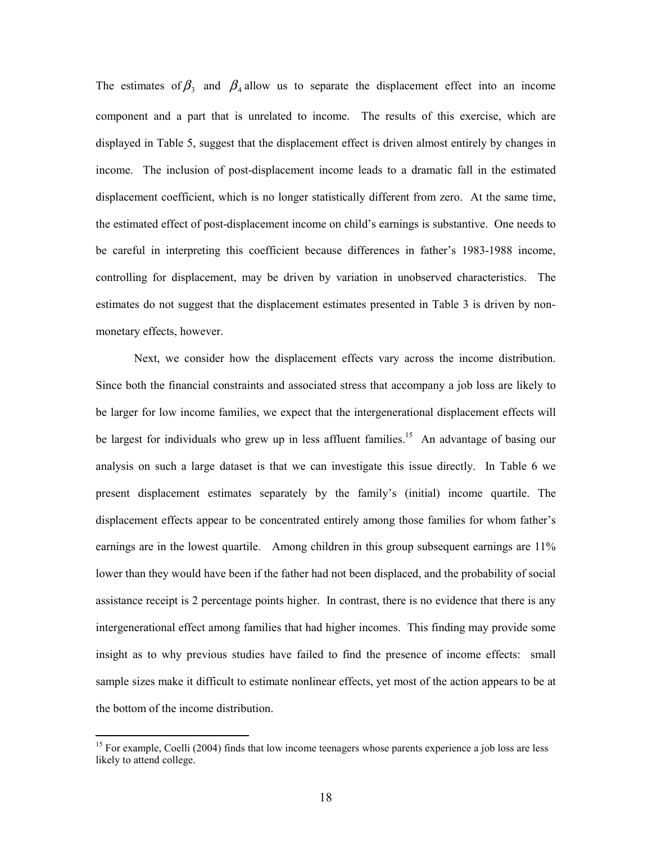The estimates of  $\beta_3$  and  $\beta_4$  allow us to separate the displacement effect into an income component and a part that is unrelated to income. The results of this exercise, which are displayed in Table 5, suggest that the displacement effect is driven almost entirely by changes in income. The inclusion of post-displacement income leads to a dramatic fall in the estimated displacement coefficient, which is no longer statistically different from zero. At the same time, the estimated effect of post-displacement income on child's earnings is substantive. One needs to be careful in interpreting this coefficient because differences in father's 1983-1988 income, controlling for displacement, may be driven by variation in unobserved characteristics. The estimates do not suggest that the displacement estimates presented in Table 3 is driven by nonmonetary effects, however.

 Next, we consider how the displacement effects vary across the income distribution. Since both the financial constraints and associated stress that accompany a job loss are likely to be larger for low income families, we expect that the intergenerational displacement effects will be largest for individuals who grew up in less affluent families.<sup>15</sup> An advantage of basing our analysis on such a large dataset is that we can investigate this issue directly. In Table 6 we present displacement estimates separately by the family's (initial) income quartile. The displacement effects appear to be concentrated entirely among those families for whom father's earnings are in the lowest quartile. Among children in this group subsequent earnings are 11% lower than they would have been if the father had not been displaced, and the probability of social assistance receipt is 2 percentage points higher. In contrast, there is no evidence that there is any intergenerational effect among families that had higher incomes. This finding may provide some insight as to why previous studies have failed to find the presence of income effects: small sample sizes make it difficult to estimate nonlinear effects, yet most of the action appears to be at the bottom of the income distribution.

 $\overline{a}$ 

<sup>&</sup>lt;sup>15</sup> For example, Coelli (2004) finds that low income teenagers whose parents experience a job loss are less likely to attend college.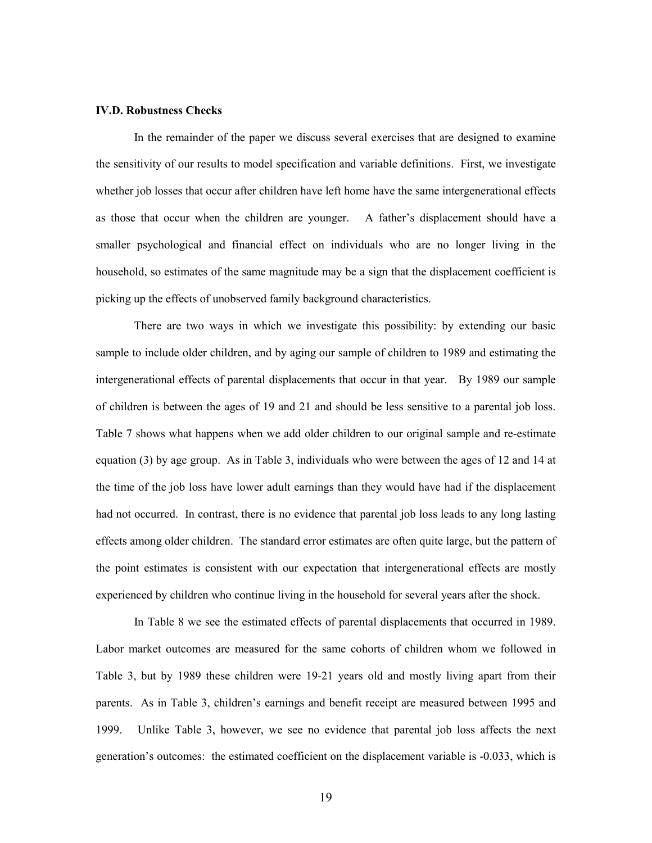#### **IV.D. Robustness Checks**

In the remainder of the paper we discuss several exercises that are designed to examine the sensitivity of our results to model specification and variable definitions. First, we investigate whether job losses that occur after children have left home have the same intergenerational effects as those that occur when the children are younger. A father's displacement should have a smaller psychological and financial effect on individuals who are no longer living in the household, so estimates of the same magnitude may be a sign that the displacement coefficient is picking up the effects of unobserved family background characteristics.

 There are two ways in which we investigate this possibility: by extending our basic sample to include older children, and by aging our sample of children to 1989 and estimating the intergenerational effects of parental displacements that occur in that year. By 1989 our sample of children is between the ages of 19 and 21 and should be less sensitive to a parental job loss. Table 7 shows what happens when we add older children to our original sample and re-estimate equation (3) by age group. As in Table 3, individuals who were between the ages of 12 and 14 at the time of the job loss have lower adult earnings than they would have had if the displacement had not occurred. In contrast, there is no evidence that parental job loss leads to any long lasting effects among older children. The standard error estimates are often quite large, but the pattern of the point estimates is consistent with our expectation that intergenerational effects are mostly experienced by children who continue living in the household for several years after the shock.

 In Table 8 we see the estimated effects of parental displacements that occurred in 1989. Labor market outcomes are measured for the same cohorts of children whom we followed in Table 3, but by 1989 these children were 19-21 years old and mostly living apart from their parents. As in Table 3, children's earnings and benefit receipt are measured between 1995 and 1999. Unlike Table 3, however, we see no evidence that parental job loss affects the next generation's outcomes: the estimated coefficient on the displacement variable is -0.033, which is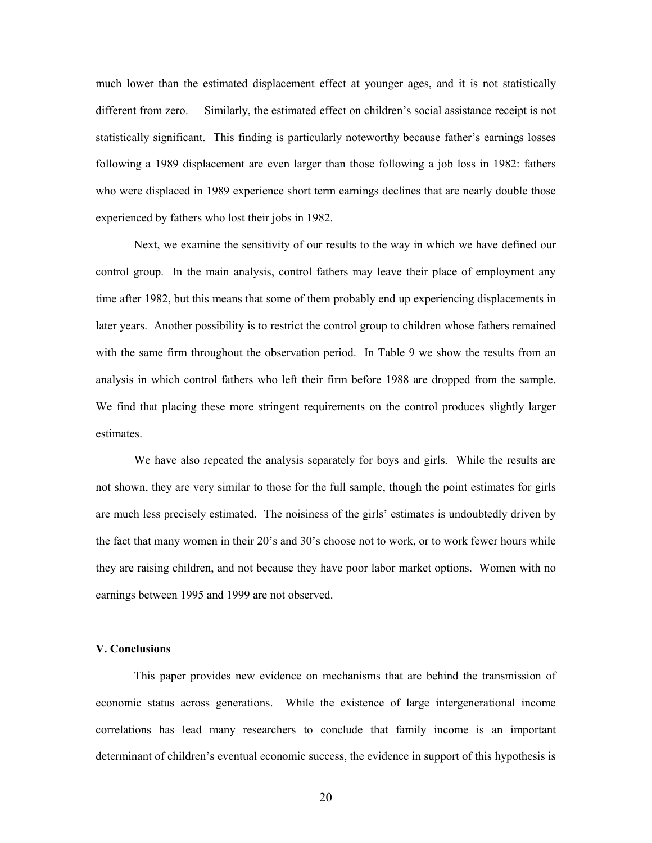much lower than the estimated displacement effect at younger ages, and it is not statistically different from zero. Similarly, the estimated effect on children's social assistance receipt is not statistically significant. This finding is particularly noteworthy because father's earnings losses following a 1989 displacement are even larger than those following a job loss in 1982: fathers who were displaced in 1989 experience short term earnings declines that are nearly double those experienced by fathers who lost their jobs in 1982.

 Next, we examine the sensitivity of our results to the way in which we have defined our control group. In the main analysis, control fathers may leave their place of employment any time after 1982, but this means that some of them probably end up experiencing displacements in later years. Another possibility is to restrict the control group to children whose fathers remained with the same firm throughout the observation period. In Table 9 we show the results from an analysis in which control fathers who left their firm before 1988 are dropped from the sample. We find that placing these more stringent requirements on the control produces slightly larger estimates.

We have also repeated the analysis separately for boys and girls. While the results are not shown, they are very similar to those for the full sample, though the point estimates for girls are much less precisely estimated. The noisiness of the girls' estimates is undoubtedly driven by the fact that many women in their 20's and 30's choose not to work, or to work fewer hours while they are raising children, and not because they have poor labor market options. Women with no earnings between 1995 and 1999 are not observed.

#### **V. Conclusions**

 This paper provides new evidence on mechanisms that are behind the transmission of economic status across generations. While the existence of large intergenerational income correlations has lead many researchers to conclude that family income is an important determinant of children's eventual economic success, the evidence in support of this hypothesis is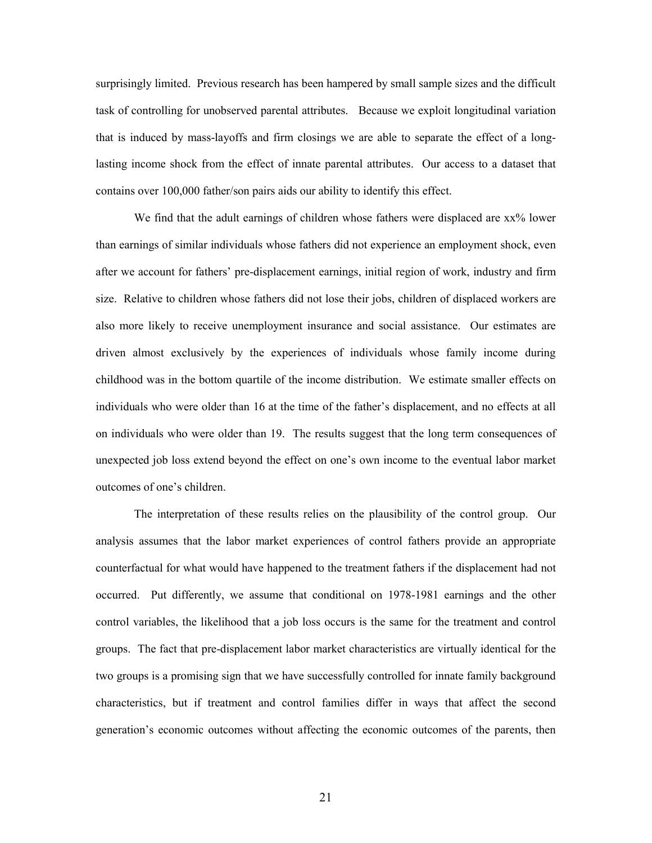surprisingly limited. Previous research has been hampered by small sample sizes and the difficult task of controlling for unobserved parental attributes. Because we exploit longitudinal variation that is induced by mass-layoffs and firm closings we are able to separate the effect of a longlasting income shock from the effect of innate parental attributes. Our access to a dataset that contains over 100,000 father/son pairs aids our ability to identify this effect.

We find that the adult earnings of children whose fathers were displaced are  $xx\%$  lower than earnings of similar individuals whose fathers did not experience an employment shock, even after we account for fathers' pre-displacement earnings, initial region of work, industry and firm size. Relative to children whose fathers did not lose their jobs, children of displaced workers are also more likely to receive unemployment insurance and social assistance. Our estimates are driven almost exclusively by the experiences of individuals whose family income during childhood was in the bottom quartile of the income distribution. We estimate smaller effects on individuals who were older than 16 at the time of the father's displacement, and no effects at all on individuals who were older than 19. The results suggest that the long term consequences of unexpected job loss extend beyond the effect on one's own income to the eventual labor market outcomes of one's children.

 The interpretation of these results relies on the plausibility of the control group. Our analysis assumes that the labor market experiences of control fathers provide an appropriate counterfactual for what would have happened to the treatment fathers if the displacement had not occurred. Put differently, we assume that conditional on 1978-1981 earnings and the other control variables, the likelihood that a job loss occurs is the same for the treatment and control groups. The fact that pre-displacement labor market characteristics are virtually identical for the two groups is a promising sign that we have successfully controlled for innate family background characteristics, but if treatment and control families differ in ways that affect the second generation's economic outcomes without affecting the economic outcomes of the parents, then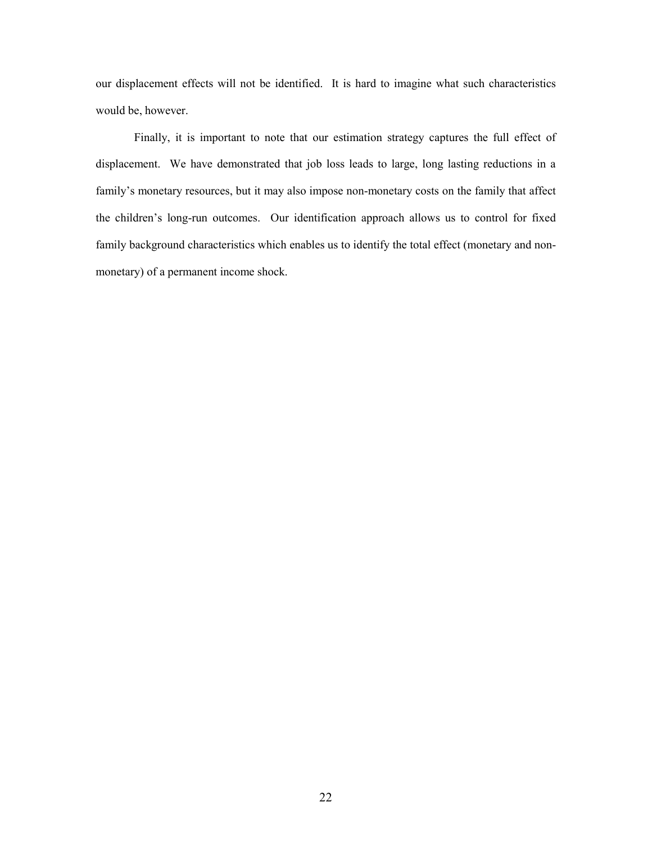our displacement effects will not be identified. It is hard to imagine what such characteristics would be, however.

 Finally, it is important to note that our estimation strategy captures the full effect of displacement. We have demonstrated that job loss leads to large, long lasting reductions in a family's monetary resources, but it may also impose non-monetary costs on the family that affect the children's long-run outcomes. Our identification approach allows us to control for fixed family background characteristics which enables us to identify the total effect (monetary and nonmonetary) of a permanent income shock.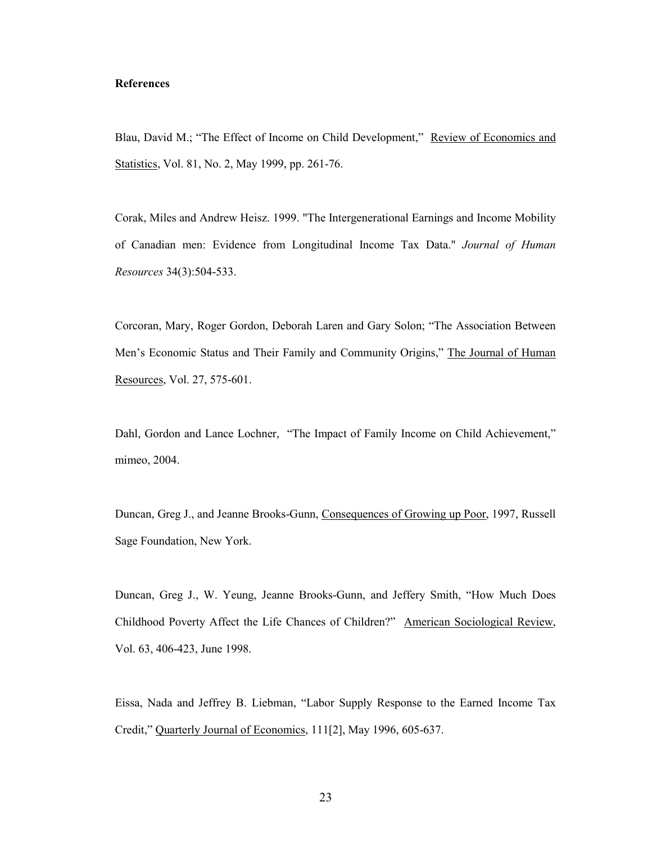### **References**

Blau, David M.; "The Effect of Income on Child Development," Review of Economics and Statistics, Vol. 81, No. 2, May 1999, pp. 261-76.

Corak, Miles and Andrew Heisz. 1999. "The Intergenerational Earnings and Income Mobility of Canadian men: Evidence from Longitudinal Income Tax Data." *Journal of Human Resources* 34(3):504-533.

Corcoran, Mary, Roger Gordon, Deborah Laren and Gary Solon; "The Association Between Men's Economic Status and Their Family and Community Origins," The Journal of Human Resources, Vol. 27, 575-601.

Dahl, Gordon and Lance Lochner, "The Impact of Family Income on Child Achievement," mimeo, 2004.

Duncan, Greg J., and Jeanne Brooks-Gunn, Consequences of Growing up Poor, 1997, Russell Sage Foundation, New York.

Duncan, Greg J., W. Yeung, Jeanne Brooks-Gunn, and Jeffery Smith, "How Much Does Childhood Poverty Affect the Life Chances of Children?" American Sociological Review, Vol. 63, 406-423, June 1998.

Eissa, Nada and Jeffrey B. Liebman, "Labor Supply Response to the Earned Income Tax Credit," Quarterly Journal of Economics, 111[2], May 1996, 605-637.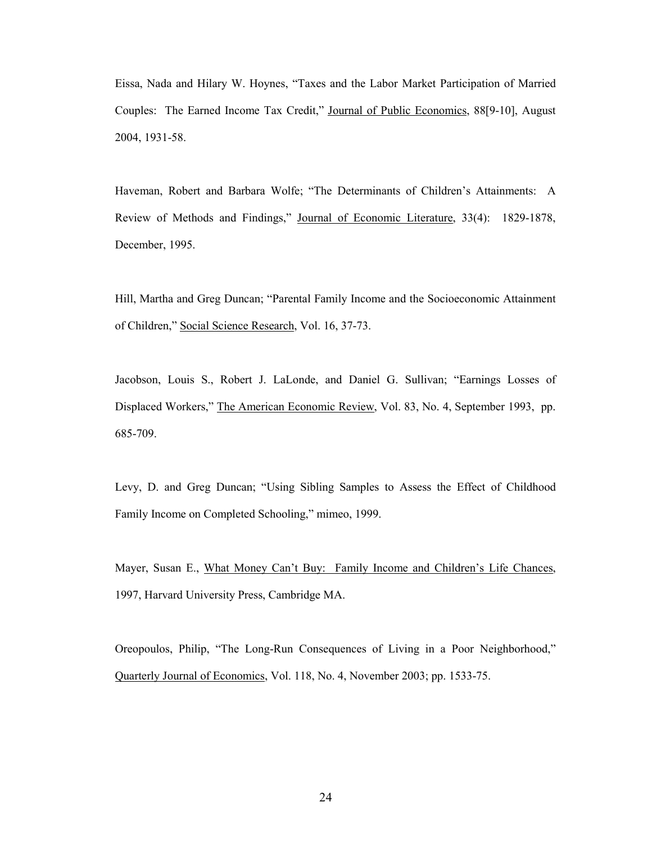Eissa, Nada and Hilary W. Hoynes, "Taxes and the Labor Market Participation of Married Couples: The Earned Income Tax Credit," Journal of Public Economics, 88[9-10], August 2004, 1931-58.

Haveman, Robert and Barbara Wolfe; "The Determinants of Children's Attainments: A Review of Methods and Findings," Journal of Economic Literature, 33(4): 1829-1878, December, 1995.

Hill, Martha and Greg Duncan; "Parental Family Income and the Socioeconomic Attainment of Children," Social Science Research, Vol. 16, 37-73.

Jacobson, Louis S., Robert J. LaLonde, and Daniel G. Sullivan; "Earnings Losses of Displaced Workers," The American Economic Review, Vol. 83, No. 4, September 1993, pp. 685-709.

Levy, D. and Greg Duncan; "Using Sibling Samples to Assess the Effect of Childhood Family Income on Completed Schooling," mimeo, 1999.

Mayer, Susan E., What Money Can't Buy: Family Income and Children's Life Chances, 1997, Harvard University Press, Cambridge MA.

Oreopoulos, Philip, "The Long-Run Consequences of Living in a Poor Neighborhood," Quarterly Journal of Economics, Vol. 118, No. 4, November 2003; pp. 1533-75.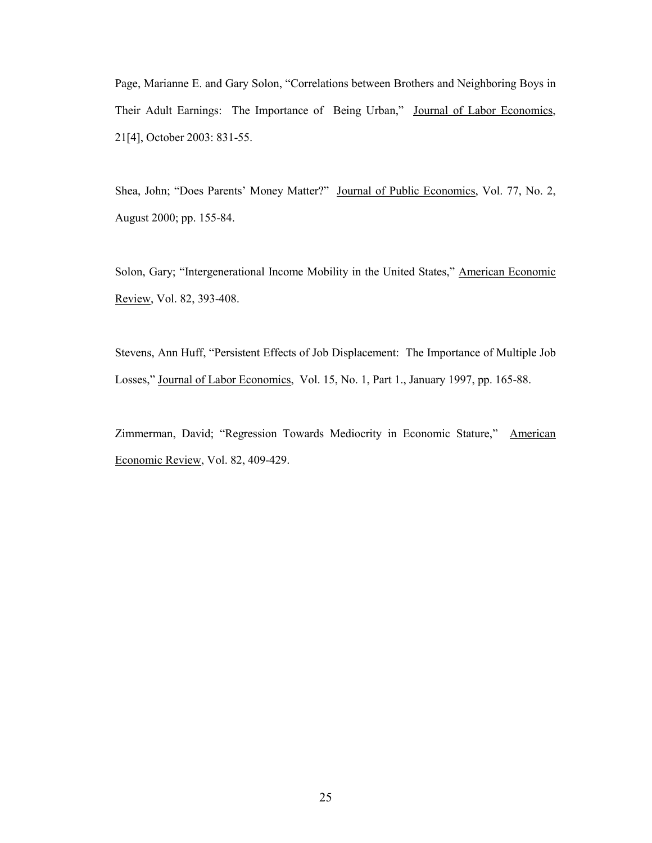Page, Marianne E. and Gary Solon, "Correlations between Brothers and Neighboring Boys in Their Adult Earnings: The Importance of Being Urban," Journal of Labor Economics, 21[4], October 2003: 831-55.

Shea, John; "Does Parents' Money Matter?" Journal of Public Economics, Vol. 77, No. 2, August 2000; pp. 155-84.

Solon, Gary; "Intergenerational Income Mobility in the United States," American Economic Review, Vol. 82, 393-408.

Stevens, Ann Huff, "Persistent Effects of Job Displacement: The Importance of Multiple Job Losses," Journal of Labor Economics, Vol. 15, No. 1, Part 1., January 1997, pp. 165-88.

Zimmerman, David; "Regression Towards Mediocrity in Economic Stature," American Economic Review, Vol. 82, 409-429.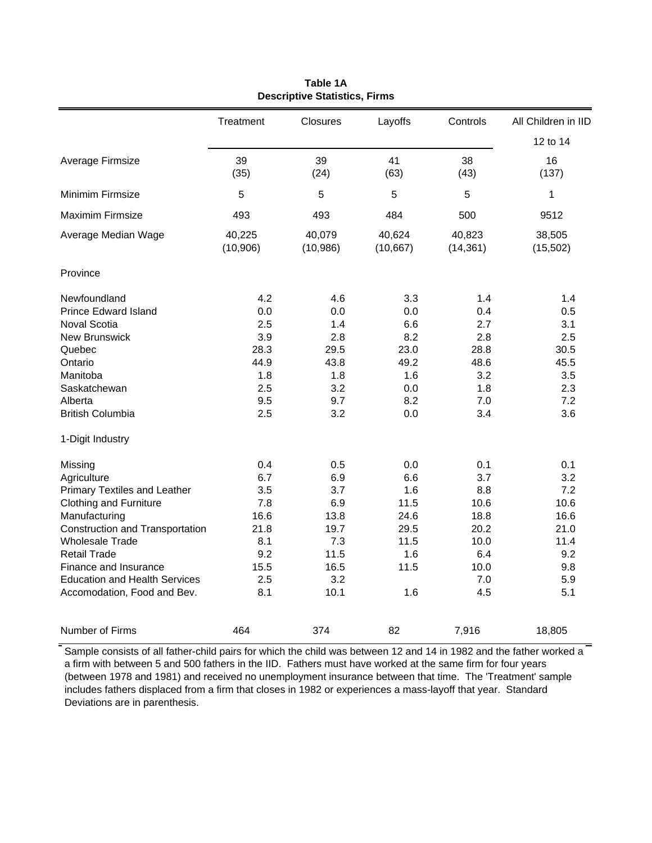|                                                                                                                                                                                                                                                                                                     | Treatment                                                                    | <b>Closures</b>                                                                | Layoffs                                                                 | Controls                                                                       | All Children in IID                                                           |  |
|-----------------------------------------------------------------------------------------------------------------------------------------------------------------------------------------------------------------------------------------------------------------------------------------------------|------------------------------------------------------------------------------|--------------------------------------------------------------------------------|-------------------------------------------------------------------------|--------------------------------------------------------------------------------|-------------------------------------------------------------------------------|--|
|                                                                                                                                                                                                                                                                                                     |                                                                              |                                                                                |                                                                         |                                                                                | 12 to 14                                                                      |  |
| Average Firmsize                                                                                                                                                                                                                                                                                    | 39<br>(35)                                                                   | 39<br>(24)                                                                     | 41<br>(63)                                                              | 38<br>(43)                                                                     | 16<br>(137)                                                                   |  |
| Minimim Firmsize                                                                                                                                                                                                                                                                                    | 5                                                                            | 5                                                                              | 5                                                                       | 5                                                                              | 1                                                                             |  |
| <b>Maximim Firmsize</b>                                                                                                                                                                                                                                                                             | 493                                                                          | 493                                                                            | 484                                                                     | 500                                                                            | 9512                                                                          |  |
| Average Median Wage                                                                                                                                                                                                                                                                                 | 40,225<br>(10, 906)                                                          | 40,079<br>(10, 986)                                                            | 40,624<br>(10, 667)                                                     | 40,823<br>(14, 361)                                                            | 38,505<br>(15, 502)                                                           |  |
| Province                                                                                                                                                                                                                                                                                            |                                                                              |                                                                                |                                                                         |                                                                                |                                                                               |  |
| Newfoundland<br><b>Prince Edward Island</b><br><b>Noval Scotia</b><br><b>New Brunswick</b><br>Quebec<br>Ontario<br>Manitoba<br>Saskatchewan<br>Alberta<br><b>British Columbia</b>                                                                                                                   | 4.2<br>0.0<br>2.5<br>3.9<br>28.3<br>44.9<br>1.8<br>2.5<br>9.5<br>2.5         | 4.6<br>0.0<br>1.4<br>2.8<br>29.5<br>43.8<br>1.8<br>3.2<br>9.7<br>3.2           | 3.3<br>0.0<br>6.6<br>8.2<br>23.0<br>49.2<br>1.6<br>0.0<br>8.2<br>0.0    | 1.4<br>0.4<br>2.7<br>2.8<br>28.8<br>48.6<br>3.2<br>1.8<br>7.0<br>3.4           | 1.4<br>0.5<br>3.1<br>2.5<br>30.5<br>45.5<br>3.5<br>2.3<br>7.2<br>3.6          |  |
| 1-Digit Industry                                                                                                                                                                                                                                                                                    |                                                                              |                                                                                |                                                                         |                                                                                |                                                                               |  |
| Missing<br>Agriculture<br><b>Primary Textiles and Leather</b><br><b>Clothing and Furniture</b><br>Manufacturing<br>Construction and Transportation<br><b>Wholesale Trade</b><br><b>Retail Trade</b><br>Finance and Insurance<br><b>Education and Health Services</b><br>Accomodation, Food and Bev. | 0.4<br>6.7<br>3.5<br>7.8<br>16.6<br>21.8<br>8.1<br>9.2<br>15.5<br>2.5<br>8.1 | 0.5<br>6.9<br>3.7<br>6.9<br>13.8<br>19.7<br>7.3<br>11.5<br>16.5<br>3.2<br>10.1 | 0.0<br>6.6<br>1.6<br>11.5<br>24.6<br>29.5<br>11.5<br>1.6<br>11.5<br>1.6 | 0.1<br>3.7<br>8.8<br>10.6<br>18.8<br>20.2<br>10.0<br>6.4<br>10.0<br>7.0<br>4.5 | 0.1<br>3.2<br>7.2<br>10.6<br>16.6<br>21.0<br>11.4<br>9.2<br>9.8<br>5.9<br>5.1 |  |
| Number of Firms                                                                                                                                                                                                                                                                                     | 464                                                                          | 374                                                                            | 82                                                                      | 7,916                                                                          | 18,805                                                                        |  |

**Table 1A Descriptive Statistics, Firms**

Sample consists of all father-child pairs for which the child was between 12 and 14 in 1982 and the father worked a a firm with between 5 and 500 fathers in the IID. Fathers must have worked at the same firm for four years (between 1978 and 1981) and received no unemployment insurance between that time. The 'Treatment' sample includes fathers displaced from a firm that closes in 1982 or experiences a mass-layoff that year. Standard Deviations are in parenthesis.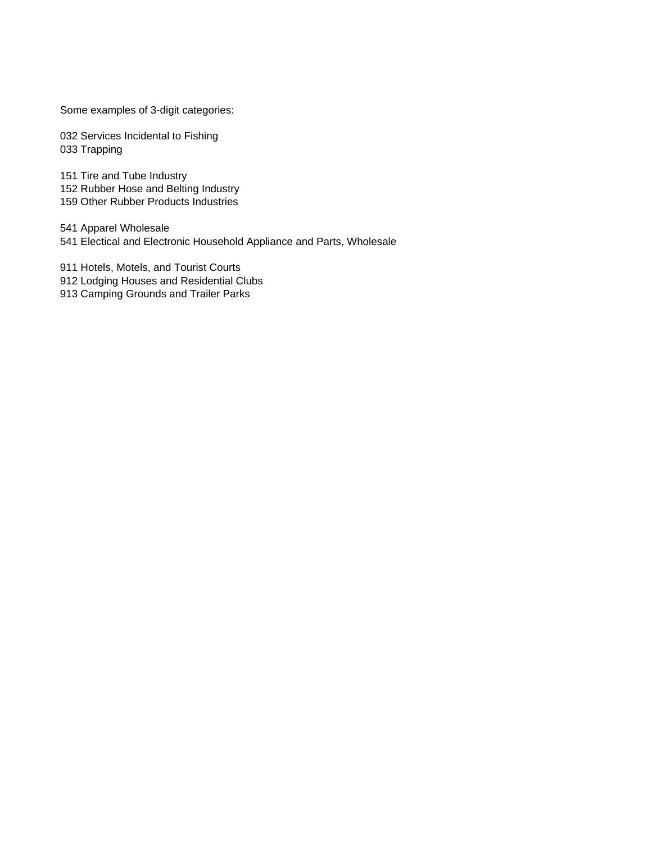Some examples of 3-digit categories:

032 Services Incidental to Fishing 033 Trapping

151 Tire and Tube Industry 152 Rubber Hose and Belting Industry 159 Other Rubber Products Industries

541 Apparel Wholesale 541 Electical and Electronic Household Appliance and Parts, Wholesale

911 Hotels, Motels, and Tourist Courts 912 Lodging Houses and Residential Clubs

913 Camping Grounds and Trailer Parks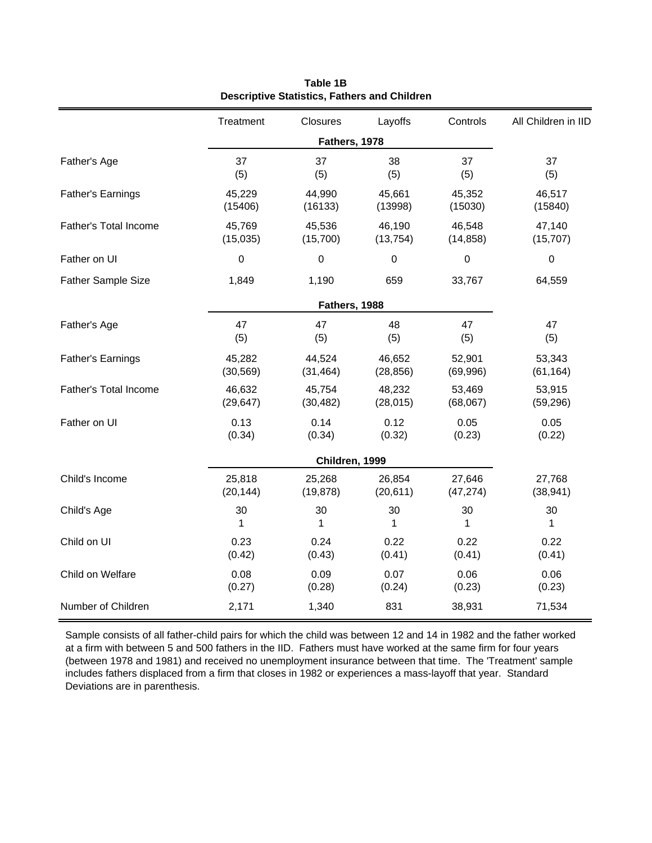|                           | Treatment | Closures       | Layoffs   | Controls         | All Children in IID |
|---------------------------|-----------|----------------|-----------|------------------|---------------------|
|                           |           | Fathers, 1978  |           |                  |                     |
| Father's Age              | 37        | 37             | 38        | 37               | 37                  |
|                           | (5)       | (5)            | (5)       | (5)              | (5)                 |
| <b>Father's Earnings</b>  | 45,229    | 44,990         | 45,661    | 45,352           | 46,517              |
|                           | (15406)   | (16133)        | (13998)   | (15030)          | (15840)             |
| Father's Total Income     | 45,769    | 45,536         | 46,190    | 46,548           | 47,140              |
|                           | (15,035)  | (15,700)       | (13, 754) | (14, 858)        | (15, 707)           |
| Father on UI              | 0         | $\pmb{0}$      | 0         | $\boldsymbol{0}$ | $\pmb{0}$           |
| <b>Father Sample Size</b> | 1,849     | 1,190          | 659       | 33,767           | 64,559              |
|                           |           | Fathers, 1988  |           |                  |                     |
| Father's Age              | 47        | 47             | 48        | 47               | 47                  |
|                           | (5)       | (5)            | (5)       | (5)              | (5)                 |
| <b>Father's Earnings</b>  | 45,282    | 44,524         | 46,652    | 52,901           | 53,343              |
|                           | (30, 569) | (31, 464)      | (28, 856) | (69, 996)        | (61, 164)           |
| Father's Total Income     | 46,632    | 45,754         | 48,232    | 53,469           | 53,915              |
|                           | (29, 647) | (30, 482)      | (28, 015) | (68,067)         | (59, 296)           |
| Father on UI              | 0.13      | 0.14           | 0.12      | 0.05             | 0.05                |
|                           | (0.34)    | (0.34)         | (0.32)    | (0.23)           | (0.22)              |
|                           |           | Children, 1999 |           |                  |                     |
| Child's Income            | 25,818    | 25,268         | 26,854    | 27,646           | 27,768              |
|                           | (20, 144) | (19, 878)      | (20, 611) | (47, 274)        | (38, 941)           |
| Child's Age               | 30        | 30             | 30        | 30               | 30                  |
|                           | 1         | 1              | 1         | 1                | 1                   |
| Child on UI               | 0.23      | 0.24           | 0.22      | 0.22             | 0.22                |
|                           | (0.42)    | (0.43)         | (0.41)    | (0.41)           | (0.41)              |
| Child on Welfare          | 0.08      | 0.09           | 0.07      | 0.06             | 0.06                |
|                           | (0.27)    | (0.28)         | (0.24)    | (0.23)           | (0.23)              |
| Number of Children        | 2,171     | 1,340          | 831       | 38,931           | 71,534              |

**Table 1B Descriptive Statistics, Fathers and Children**

Sample consists of all father-child pairs for which the child was between 12 and 14 in 1982 and the father worked at a firm with between 5 and 500 fathers in the IID. Fathers must have worked at the same firm for four years (between 1978 and 1981) and received no unemployment insurance between that time. The 'Treatment' sample includes fathers displaced from a firm that closes in 1982 or experiences a mass-layoff that year. Standard Deviations are in parenthesis.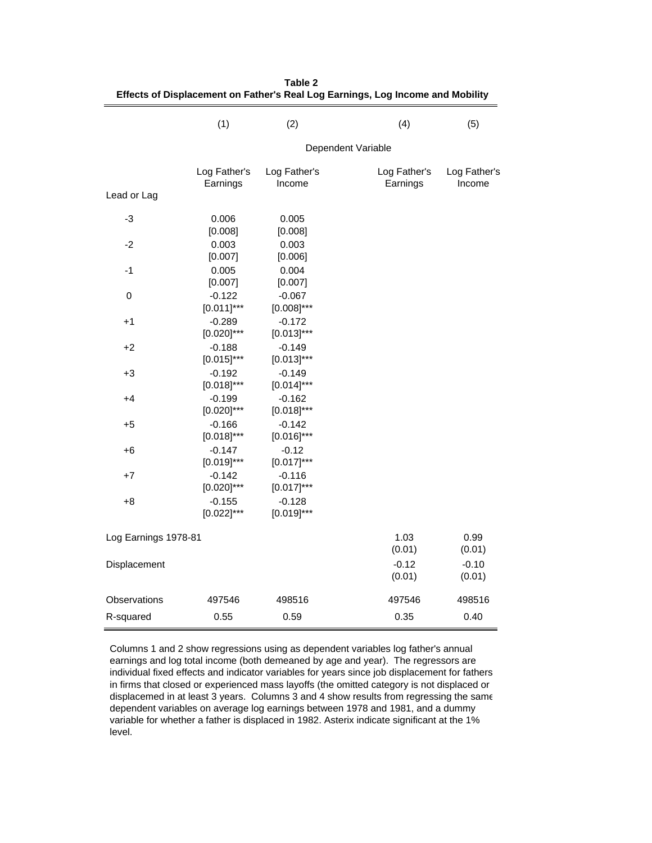|                      | (1)                         | (2)                         | (4)                      | (5)                    |
|----------------------|-----------------------------|-----------------------------|--------------------------|------------------------|
|                      |                             |                             | Dependent Variable       |                        |
| Lead or Lag          | Log Father's<br>Earnings    | Log Father's<br>Income      | Log Father's<br>Earnings | Log Father's<br>Income |
| -3                   | 0.006<br>[0.008]            | 0.005<br>[0.008]            |                          |                        |
| $-2$                 | 0.003<br>[0.007]            | 0.003<br>[0.006]            |                          |                        |
| $-1$                 | 0.005<br>[0.007]            | 0.004<br>[0.007]            |                          |                        |
| 0                    | $-0.122$<br>$[0.011]$ ***   | $-0.067$<br>$[0.008]^{***}$ |                          |                        |
| $+1$                 | $-0.289$<br>$[0.020]^{***}$ | $-0.172$<br>$[0.013]$ ***   |                          |                        |
| $+2$                 | $-0.188$<br>$[0.015]^{***}$ | $-0.149$<br>$[0.013]^{***}$ |                          |                        |
| $+3$                 | $-0.192$<br>$[0.018]^{***}$ | $-0.149$<br>$[0.014]$ ***   |                          |                        |
| +4                   | $-0.199$<br>$[0.020]$ ***   | $-0.162$<br>$[0.018]^{***}$ |                          |                        |
| +5                   | $-0.166$<br>$[0.018]^{***}$ | $-0.142$<br>$[0.016]^{***}$ |                          |                        |
| $+6$                 | $-0.147$<br>$[0.019]$ ***   | $-0.12$<br>$[0.017]$ ***    |                          |                        |
| $+7$                 | $-0.142$<br>$[0.020]$ ***   | $-0.116$<br>$[0.017]$ ***   |                          |                        |
| $+8$                 | $-0.155$<br>$[0.022]$ ***   | $-0.128$<br>$[0.019]^{***}$ |                          |                        |
| Log Earnings 1978-81 |                             |                             | 1.03<br>(0.01)           | 0.99<br>(0.01)         |
| Displacement         |                             |                             | $-0.12$<br>(0.01)        | $-0.10$<br>(0.01)      |
| Observations         | 497546                      | 498516                      | 497546                   | 498516                 |
| R-squared            | 0.55                        | 0.59                        | 0.35                     | 0.40                   |

**Table 2 Effects of Displacement on Father's Real Log Earnings, Log Income and Mobility**

Columns 1 and 2 show regressions using as dependent variables log father's annual earnings and log total income (both demeaned by age and year). The regressors are individual fixed effects and indicator variables for years since job displacement for fathers in firms that closed or experienced mass layoffs (the omitted category is not displaced or displacemed in at least 3 years. Columns 3 and 4 show results from regressing the same dependent variables on average log earnings between 1978 and 1981, and a dummy variable for whether a father is displaced in 1982. Asterix indicate significant at the 1% level.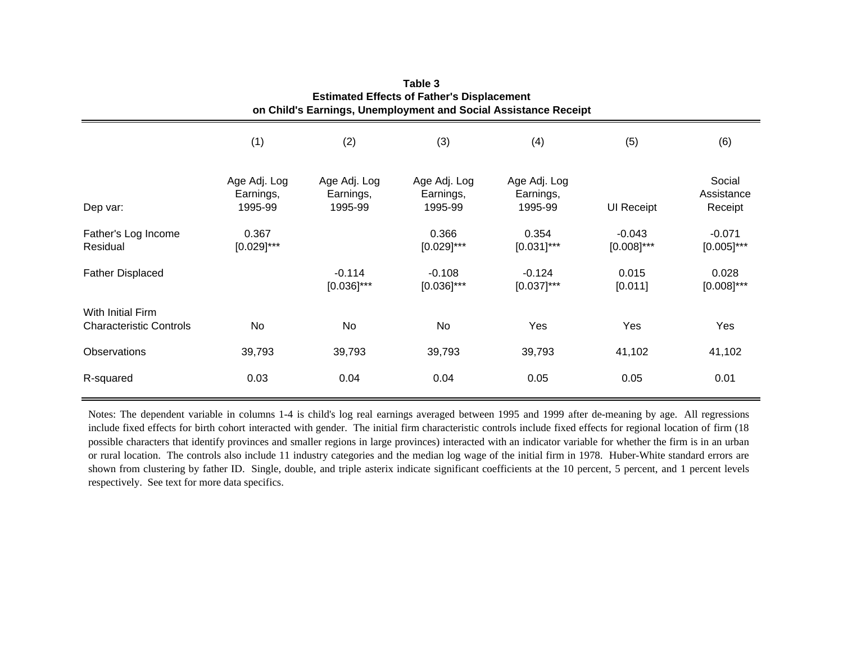|                                                     |                                      |                                      |                                      | on Child's Earnings, Unemployment and Social Assistance Receipt |                           |                                 |
|-----------------------------------------------------|--------------------------------------|--------------------------------------|--------------------------------------|-----------------------------------------------------------------|---------------------------|---------------------------------|
|                                                     | (1)                                  | (2)                                  | (3)                                  | (4)                                                             | (5)                       | (6)                             |
| Dep var:                                            | Age Adj. Log<br>Earnings,<br>1995-99 | Age Adj. Log<br>Earnings,<br>1995-99 | Age Adj. Log<br>Earnings,<br>1995-99 | Age Adj. Log<br>Earnings,<br>1995-99                            | <b>UI Receipt</b>         | Social<br>Assistance<br>Receipt |
| Father's Log Income<br>Residual                     | 0.367<br>$[0.029]$ ***               |                                      | 0.366<br>$[0.029]$ ***               | 0.354<br>$[0.031]$ ***                                          | $-0.043$<br>$[0.008]$ *** | $-0.071$<br>$[0.005]$ ***       |
| <b>Father Displaced</b>                             |                                      | $-0.114$<br>$[0.036]^{***}$          | $-0.108$<br>$[0.036]$ ***            | $-0.124$<br>$[0.037]$ ***                                       | 0.015<br>[0.011]          | 0.028<br>$[0.008]$ ***          |
| With Initial Firm<br><b>Characteristic Controls</b> | No                                   | No                                   | No                                   | Yes                                                             | Yes                       | Yes                             |
| <b>Observations</b>                                 | 39,793                               | 39,793                               | 39,793                               | 39,793                                                          | 41,102                    | 41,102                          |
| R-squared                                           | 0.03                                 | 0.04                                 | 0.04                                 | 0.05                                                            | 0.05                      | 0.01                            |

**Table 3Estimated Effects of Father's Displacement**

Notes: The dependent variable in columns 1-4 is child's log real earnings averaged between 1995 and 1999 after de-meaning by age. All regressions include fixed effects for birth cohort interacted with gender. The initial firm characteristic controls include fixed effects for regional location of firm (18 possible characters that identify provinces and smaller regions in large provinces) interacted with an indicator variable for whether the firm is in an urban or rural location. The controls also include 11 industry categories and the median log wage of the initial firm in 1978. Huber-White standard errors are shown from clustering by father ID. Single, double, and triple asterix indicate significant coefficients at the 10 percent, 5 percent, and 1 percen<sup>t</sup> levels respectively. See text for more data specifics.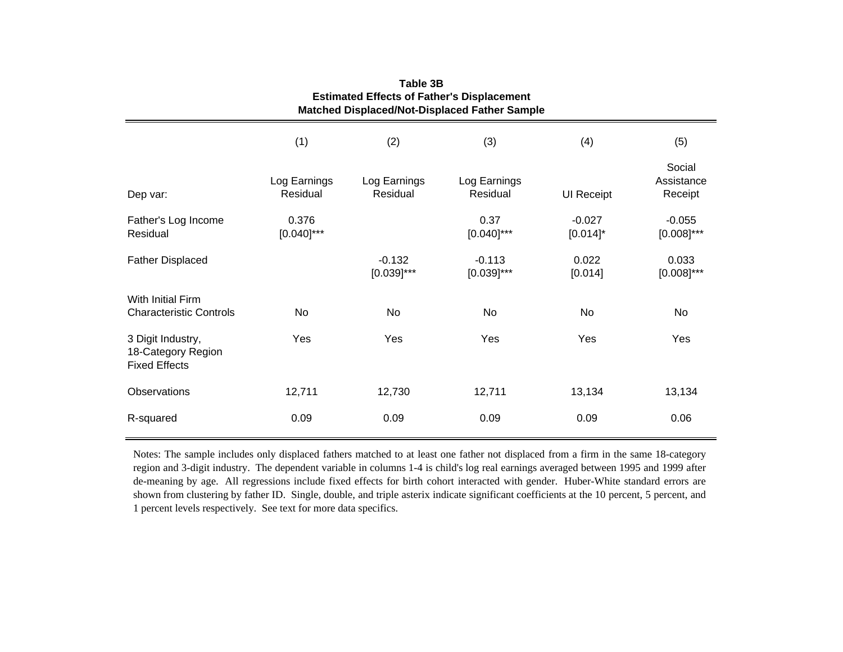| <b>Estimated Effects of Father's Displacement</b><br>Matched Displaced/Not-Displaced Father Sample |                          |                           |                           |                         |                                 |
|----------------------------------------------------------------------------------------------------|--------------------------|---------------------------|---------------------------|-------------------------|---------------------------------|
|                                                                                                    | (1)                      | (2)                       | (3)                       | (4)                     | (5)                             |
| Dep var:                                                                                           | Log Earnings<br>Residual | Log Earnings<br>Residual  | Log Earnings<br>Residual  | <b>UI Receipt</b>       | Social<br>Assistance<br>Receipt |
| Father's Log Income<br>Residual                                                                    | 0.376<br>$[0.040]$ ***   |                           | 0.37<br>$[0.040]$ ***     | $-0.027$<br>$[0.014]$ * | $-0.055$<br>$[0.008]$ ***       |
| <b>Father Displaced</b>                                                                            |                          | $-0.132$<br>$[0.039]$ *** | $-0.113$<br>$[0.039]$ *** | 0.022<br>[0.014]        | 0.033<br>$[0.008]$ ***          |
| <b>With Initial Firm</b><br><b>Characteristic Controls</b>                                         | No                       | No                        | No                        | No                      | No                              |
| 3 Digit Industry,<br>18-Category Region<br><b>Fixed Effects</b>                                    | Yes                      | Yes                       | Yes                       | Yes                     | Yes                             |
| Observations                                                                                       | 12,711                   | 12,730                    | 12,711                    | 13,134                  | 13,134                          |
| R-squared                                                                                          | 0.09                     | 0.09                      | 0.09                      | 0.09                    | 0.06                            |

**Table 3B**

Notes: The sample includes only displaced fathers matched to at least one father not displaced from <sup>a</sup> firm in the same 18-category region and 3-digit industry. The dependent variable in columns 1-4 is child's log real earnings averaged between 1995 and 1999 after de-meaning by age. All regressions include fixed effects for birth cohort interacted with gender. Huber-White standard errors are shown from clustering by father ID. Single, double, and triple asterix indicate significant coefficients at the 10 percent, 5 percent, and 1 percent levels respectively. See text for more data specifics.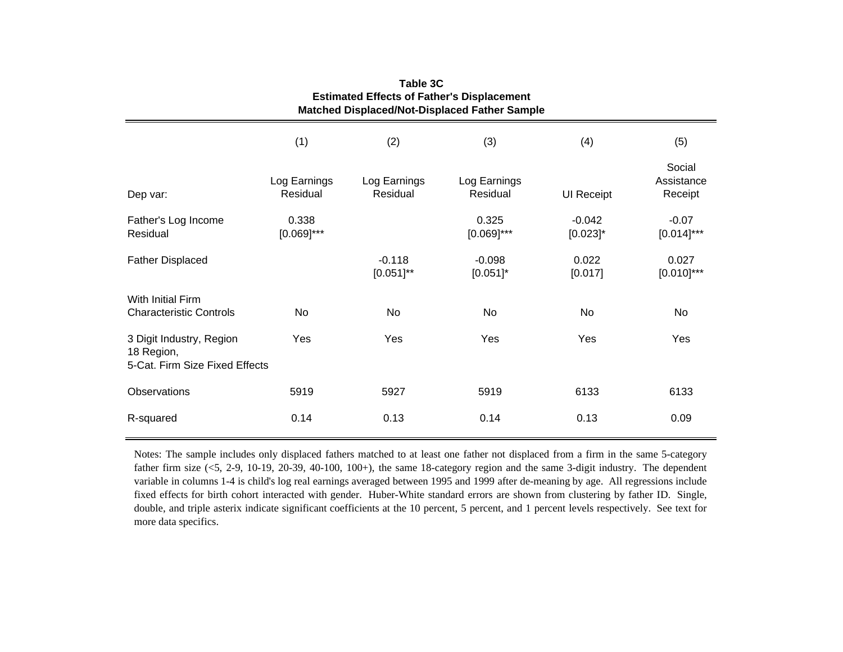| <b>Estimated Effects of Father's Displacement</b><br><b>Matched Displaced/Not-Displaced Father Sample</b> |                          |                            |                          |                         |                                 |
|-----------------------------------------------------------------------------------------------------------|--------------------------|----------------------------|--------------------------|-------------------------|---------------------------------|
|                                                                                                           | (1)                      | (2)                        | (3)                      | (4)                     | (5)                             |
| Dep var:                                                                                                  | Log Earnings<br>Residual | Log Earnings<br>Residual   | Log Earnings<br>Residual | UI Receipt              | Social<br>Assistance<br>Receipt |
| Father's Log Income<br>Residual                                                                           | 0.338<br>$[0.069]$ ***   |                            | 0.325<br>$[0.069]$ ***   | $-0.042$<br>$[0.023]$ * | $-0.07$<br>$[0.014]$ ***        |
| <b>Father Displaced</b>                                                                                   |                          | $-0.118$<br>$[0.051]^{**}$ | $-0.098$<br>$[0.051]$ *  | 0.022<br>[0.017]        | 0.027<br>$[0.010]$ ***          |
| With Initial Firm<br><b>Characteristic Controls</b>                                                       | No                       | No                         | No                       | No.                     | No                              |
| 3 Digit Industry, Region<br>18 Region,<br>5-Cat. Firm Size Fixed Effects                                  | Yes                      | Yes                        | Yes                      | Yes                     | Yes                             |
| <b>Observations</b>                                                                                       | 5919                     | 5927                       | 5919                     | 6133                    | 6133                            |
| R-squared                                                                                                 | 0.14                     | 0.13                       | 0.14                     | 0.13                    | 0.09                            |

**Table 3CEstimated Effects of Father's Displacement**

Notes: The sample includes only displaced fathers matched to at least one father not displaced from <sup>a</sup> firm in the same 5-category father firm size (<5, 2-9, 10-19, 20-39, 40-100, 100+), the same 18-category region and the same 3-digit industry. The dependent variable in columns 1-4 is child's log real earnings averaged between 1995 and 1999 after de-meaning by age. All regressions include fixed effects for birth cohort interacted with gender. Huber-White standard errors are shown from clustering by father ID. Single, double, and triple asterix indicate significant coefficients at the 10 percent, 5 percent, and 1 percen<sup>t</sup> levels respectively. See text for more data specifics.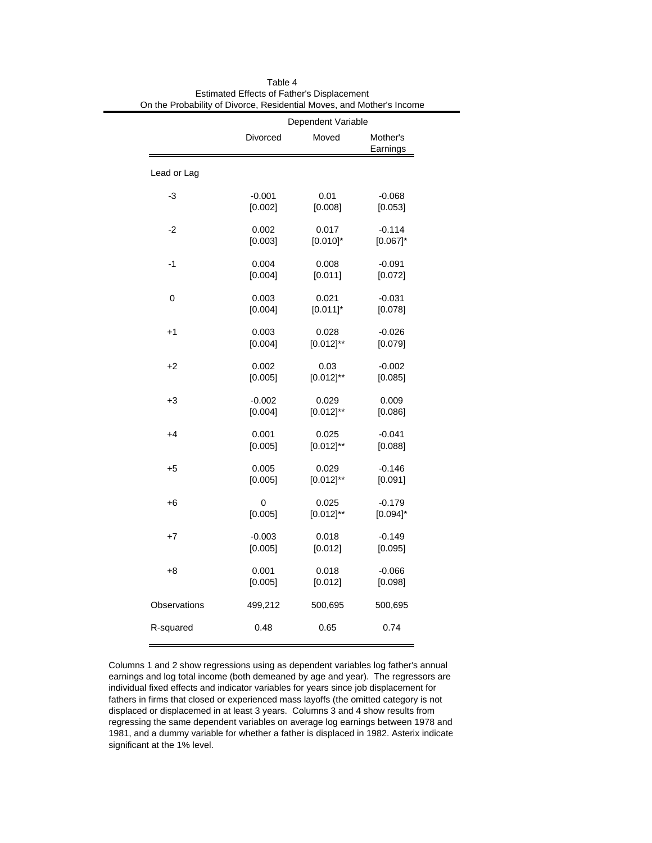|              |          | Dependent Variable |                      |
|--------------|----------|--------------------|----------------------|
|              | Divorced | Moved              | Mother's<br>Earnings |
| Lead or Lag  |          |                    |                      |
| -3           | $-0.001$ | 0.01               | $-0.068$             |
|              | [0.002]  | [0.008]            | [0.053]              |
| $-2$         | 0.002    | 0.017              | $-0.114$             |
|              | [0.003]  | $[0.010]$ *        | $[0.067]$ *          |
| -1           | 0.004    | 0.008              | $-0.091$             |
|              | [0.004]  | [0.011]            | [0.072]              |
| 0            | 0.003    | 0.021              | $-0.031$             |
|              | [0.004]  | $[0.011]$ *        | [0.078]              |
| $+1$         | 0.003    | 0.028              | $-0.026$             |
|              | [0.004]  | $[0.012]^{**}$     | [0.079]              |
| $+2$         | 0.002    | 0.03               | $-0.002$             |
|              | [0.005]  | $[0.012]^{**}$     | [0.085]              |
| $+3$         | $-0.002$ | 0.029              | 0.009                |
|              | [0.004]  | $[0.012]^{**}$     | [0.086]              |
| $+4$         | 0.001    | 0.025              | $-0.041$             |
|              | [0.005]  | $[0.012]^{**}$     | [0.088]              |
| $+5$         | 0.005    | 0.029              | $-0.146$             |
|              | [0.005]  | $[0.012]^{**}$     | [0.091]              |
| +6           | 0        | 0.025              | $-0.179$             |
|              | [0.005]  | $[0.012]^{**}$     | $[0.094]$ *          |
| $+7$         | $-0.003$ | 0.018              | $-0.149$             |
|              | [0.005]  | [0.012]            | [0.095]              |
| +8           | 0.001    | 0.018              | $-0.066$             |
|              | [0.005]  | [0.012]            | [0.098]              |
| Observations | 499,212  | 500,695            | 500,695              |
| R-squared    | 0.48     | 0.65               | 0.74                 |

Table 4 Estimated Effects of Father's Displacement On the Probability of Divorce, Residential Moves, and Mother's Income

Columns 1 and 2 show regressions using as dependent variables log father's annual earnings and log total income (both demeaned by age and year). The regressors are individual fixed effects and indicator variables for years since job displacement for fathers in firms that closed or experienced mass layoffs (the omitted category is not displaced or displacemed in at least 3 years. Columns 3 and 4 show results from regressing the same dependent variables on average log earnings between 1978 and 1981, and a dummy variable for whether a father is displaced in 1982. Asterix indicate significant at the 1% level.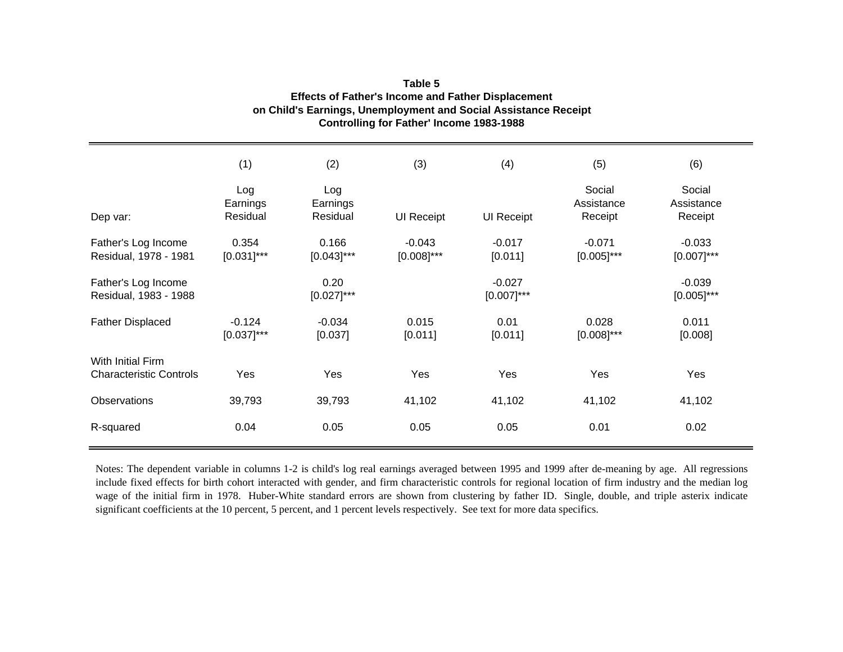|                                                     | (1)                         | (2)                         | (3)                       | (4)                       | (5)                             | (6)                             |
|-----------------------------------------------------|-----------------------------|-----------------------------|---------------------------|---------------------------|---------------------------------|---------------------------------|
| Dep var:                                            | Log<br>Earnings<br>Residual | Log<br>Earnings<br>Residual | <b>UI Receipt</b>         | <b>UI Receipt</b>         | Social<br>Assistance<br>Receipt | Social<br>Assistance<br>Receipt |
| Father's Log Income<br>Residual, 1978 - 1981        | 0.354<br>$[0.031]$ ***      | 0.166<br>$[0.043]$ ***      | $-0.043$<br>$[0.008]$ *** | $-0.017$<br>[0.011]       | $-0.071$<br>$[0.005]$ ***       | $-0.033$<br>$[0.007]$ ***       |
| Father's Log Income<br>Residual, 1983 - 1988        |                             | 0.20<br>$[0.027]$ ***       |                           | $-0.027$<br>$[0.007]$ *** |                                 | $-0.039$<br>$[0.005]$ ***       |
| <b>Father Displaced</b>                             | $-0.124$<br>$[0.037]$ ***   | $-0.034$<br>[0.037]         | 0.015<br>[0.011]          | 0.01<br>[0.011]           | 0.028<br>$[0.008]$ ***          | 0.011<br>[0.008]                |
| With Initial Firm<br><b>Characteristic Controls</b> | Yes                         | Yes                         | Yes                       | Yes                       | Yes                             | Yes                             |
| Observations                                        | 39,793                      | 39,793                      | 41,102                    | 41,102                    | 41,102                          | 41,102                          |
| R-squared                                           | 0.04                        | 0.05                        | 0.05                      | 0.05                      | 0.01                            | 0.02                            |

## **Controlling for Father' Income 1983-1988 Effects of Father's Income and Father Displacement on Child's Earnings, Unemployment and Social Assistance Receipt Table 5**

Notes: The dependent variable in columns 1-2 is child's log real earnings averaged between 1995 and 1999 after de-meaning by age. All regressions include fixed effects for birth cohort interacted with gender, and firm characteristic controls for regional location of firm industry and the median log wage of the initial firm in 1978. Huber-White standard errors are shown from clustering by father ID. Single, double, and triple asterix indicate significant coefficients at the 10 percent, 5 percent, and 1 percent levels respectively. See text for more data specifics.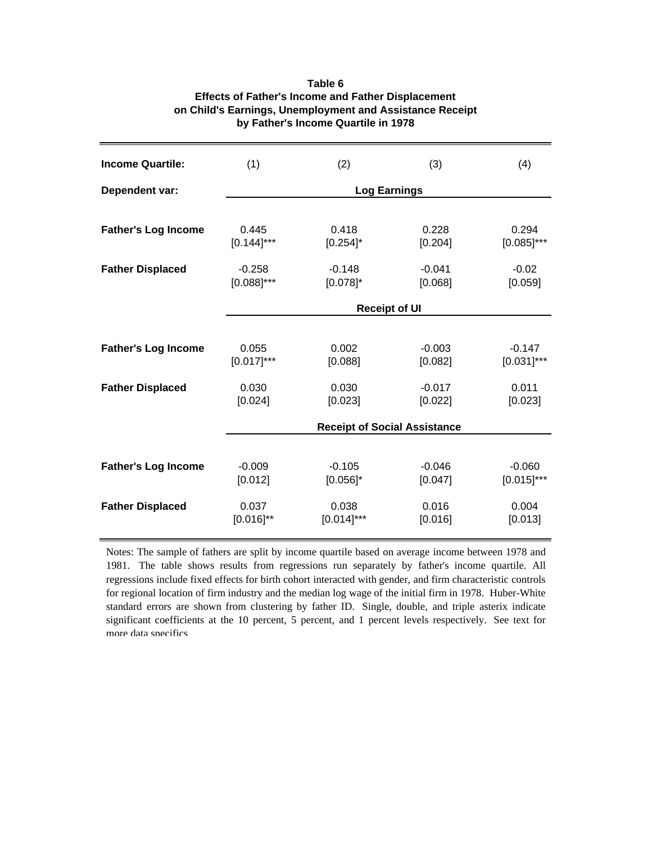| <b>Income Quartile:</b>    | (1)                         | (2)                     | (3)                                 | (4)                       |
|----------------------------|-----------------------------|-------------------------|-------------------------------------|---------------------------|
| Dependent var:             |                             | <b>Log Earnings</b>     |                                     |                           |
|                            |                             |                         |                                     |                           |
| <b>Father's Log Income</b> | 0.445<br>$[0.144]$ ***      | 0.418<br>$[0.254]$ *    | 0.228<br>[0.204]                    | 0.294<br>$[0.085]$ ***    |
| <b>Father Displaced</b>    | $-0.258$<br>$[0.088]^{***}$ | $-0.148$<br>$[0.078]$ * | $-0.041$<br>[0.068]                 | $-0.02$<br>[0.059]        |
|                            |                             | <b>Receipt of UI</b>    |                                     |                           |
|                            |                             |                         |                                     |                           |
| <b>Father's Log Income</b> | 0.055<br>$[0.017]$ ***      | 0.002<br>[0.088]        | $-0.003$<br>[0.082]                 | $-0.147$<br>$[0.031]$ *** |
| <b>Father Displaced</b>    | 0.030<br>[0.024]            | 0.030<br>[0.023]        | $-0.017$<br>[0.022]                 | 0.011<br>[0.023]          |
|                            |                             |                         | <b>Receipt of Social Assistance</b> |                           |
|                            |                             |                         |                                     |                           |
| <b>Father's Log Income</b> | $-0.009$<br>[0.012]         | $-0.105$<br>$[0.056]$ * | $-0.046$<br>[0.047]                 | $-0.060$<br>$[0.015]$ *** |
| <b>Father Displaced</b>    | 0.037<br>$[0.016]^{**}$     | 0.038<br>$[0.014]$ ***  | 0.016<br>[0.016]                    | 0.004<br>[0.013]          |

## **Table 6 Effects of Father's Income and Father Displacement on Child's Earnings, Unemployment and Assistance Receipt by Father's Income Quartile in 1978**

Notes: The sample of fathers are split by income quartile based on average income between 1978 and 1981. The table shows results from regressions run separately by father's income quartile. All regressions include fixed effects for birth cohort interacted with gender, and firm characteristic controls for regional location of firm industry and the median log wage of the initial firm in 1978. Huber-White standard errors are shown from clustering by father ID. Single, double, and triple asterix indicate significant coefficients at the 10 percent, 5 percent, and 1 percent levels respectively. See text for more data specifics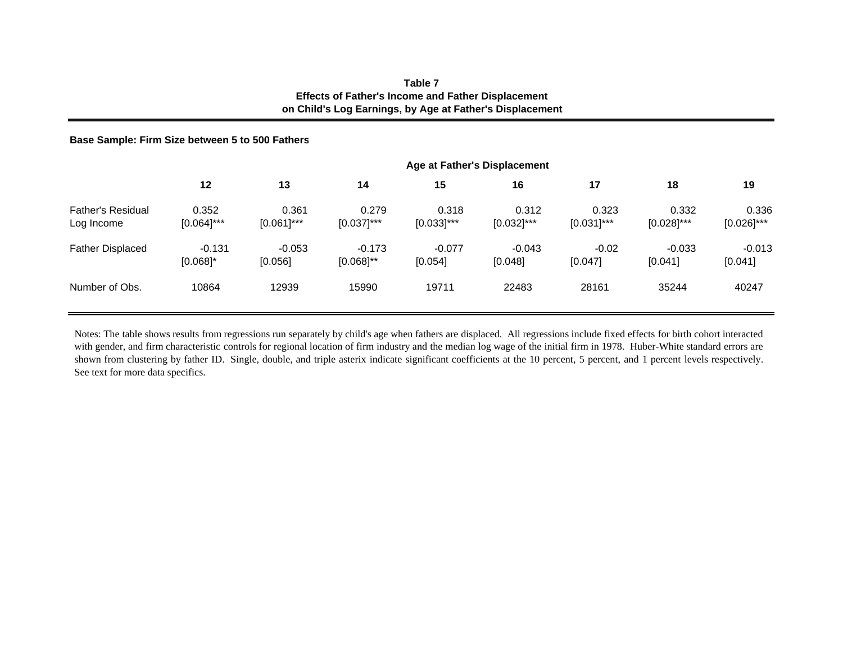## **Table 7Effects of Father's Income and Father Displacement on Child's Log Earnings, by Age at Father's Displacement**

### **Base Sample: Firm Size between 5 to 500 Fathers**

|                                        |                         |                        |                            |                        | Age at Father's Displacement |                        |                        |                        |
|----------------------------------------|-------------------------|------------------------|----------------------------|------------------------|------------------------------|------------------------|------------------------|------------------------|
|                                        | 12                      | 13                     | 14                         | 15                     | 16                           | 17                     | 18                     | 19                     |
| <b>Father's Residual</b><br>Log Income | 0.352<br>$[0.064]$ ***  | 0.361<br>$[0.061]$ *** | 0.279<br>$[0.037]$ ***     | 0.318<br>$[0.033]$ *** | 0.312<br>$[0.032]$ ***       | 0.323<br>$[0.031]$ *** | 0.332<br>$[0.028]$ *** | 0.336<br>$[0.026]$ *** |
| <b>Father Displaced</b>                | $-0.131$<br>$[0.068]$ * | $-0.053$<br>[0.056]    | $-0.173$<br>$[0.068]^{**}$ | $-0.077$<br>[0.054]    | $-0.043$<br>[0.048]          | $-0.02$<br>[0.047]     | $-0.033$<br>[0.041]    | $-0.013$<br>[0.041]    |
| Number of Obs.                         | 10864                   | 12939                  | 15990                      | 19711                  | 22483                        | 28161                  | 35244                  | 40247                  |

Notes: The table shows results from regressions run separately by child's age when fathers are displaced. All regressions include fixed effects for birth cohort interacted with gender, and firm characteristic controls for regional location of firm industry and the median log wage of the initial firm in 1978. Huber-White standard errors are shown from clustering by father ID. Single, double, and triple asterix indicate significant coefficients at the 10 percent, 5 percent, and 1 percen<sup>t</sup> levels respectively. See text for more data specifics.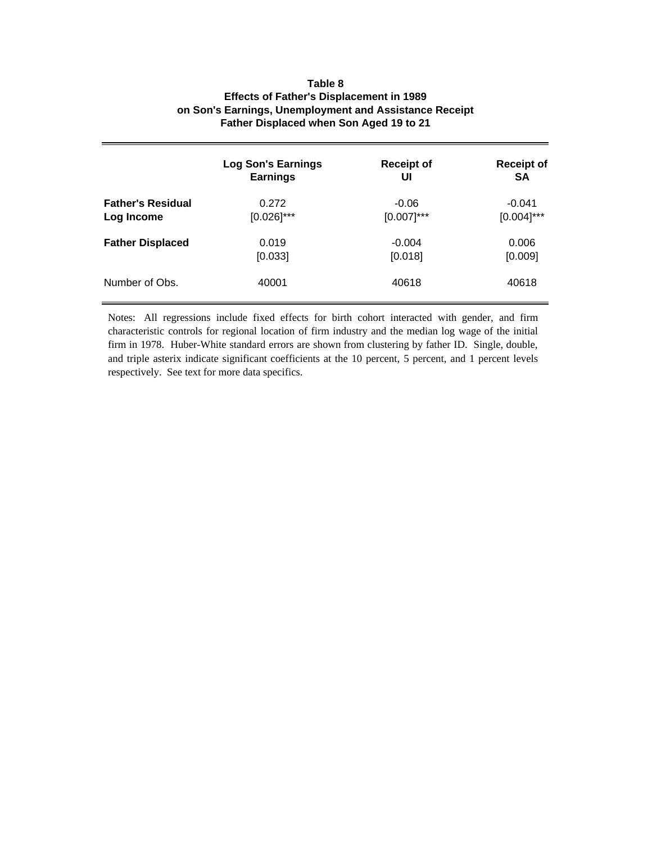## **on Son's Earnings, Unemployment and Assistance Receipt Father Displaced when Son Aged 19 to 21 Table 8 Effects of Father's Displacement in 1989**

|                          | <b>Log Son's Earnings</b> | <b>Receipt of</b> | <b>Receipt of</b> |
|--------------------------|---------------------------|-------------------|-------------------|
|                          | <b>Earnings</b>           | UI                | <b>SA</b>         |
| <b>Father's Residual</b> | 0.272                     | $-0.06$           | $-0.041$          |
| Log Income               | $[0.026]$ ***             | $[0.007]$ ***     | $[0.004]$ ***     |
| <b>Father Displaced</b>  | 0.019                     | $-0.004$          | 0.006             |
|                          | [0.033]                   | [0.018]           | [0.009]           |
| Number of Obs.           | 40001                     | 40618             | 40618             |

Notes: All regressions include fixed effects for birth cohort interacted with gender, and firm characteristic controls for regional location of firm industry and the median log wage of the initial firm in 1978. Huber-White standard errors are shown from clustering by father ID. Single, double, and triple asterix indicate significant coefficients at the 10 percent, 5 percent, and 1 percent levels respectively. See text for more data specifics.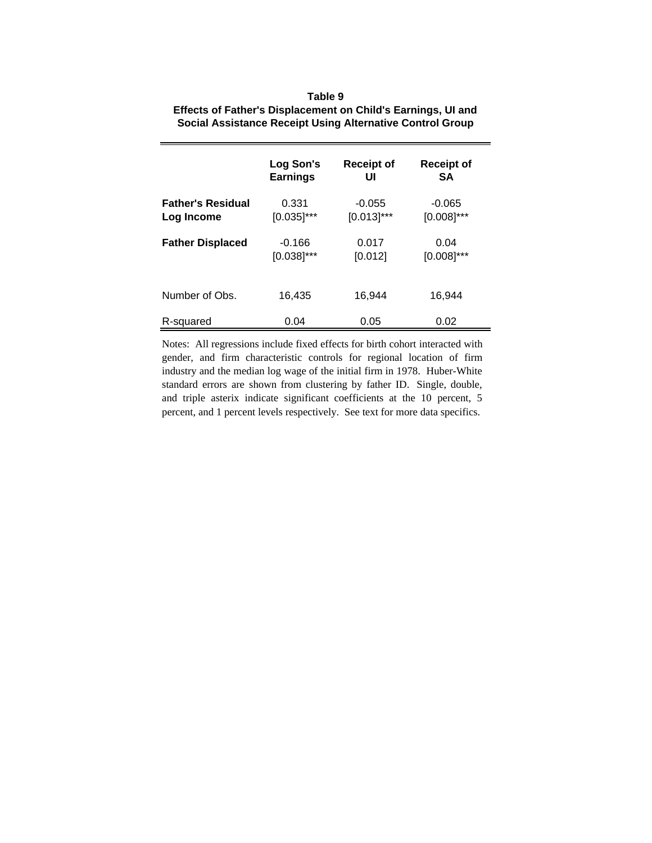| Table 9                                                          |
|------------------------------------------------------------------|
| Effects of Father's Displacement on Child's Earnings, UI and     |
| <b>Social Assistance Receipt Using Alternative Control Group</b> |

|                          | Log Son's       | <b>Receipt of</b> | <b>Receipt of</b> |
|--------------------------|-----------------|-------------------|-------------------|
|                          | <b>Earnings</b> | UI                | <b>SA</b>         |
| <b>Father's Residual</b> | 0.331           | $-0.055$          | $-0.065$          |
| Log Income               | $[0.035]$ ***   | $[0.013]$ ***     | $[0.008]$ ***     |
| <b>Father Displaced</b>  | $-0.166$        | 0.017             | 0.04              |
|                          | $[0.038]$ ***   | [0.012]           | $[0.008]$ ***     |
| Number of Obs.           | 16.435          | 16.944            | 16.944            |
| R-squared                | 0.04            | 0.05              | 0.02              |

Notes: All regressions include fixed effects for birth cohort interacted with gender, and firm characteristic controls for regional location of firm industry and the median log wage of the initial firm in 1978. Huber-White standard errors are shown from clustering by father ID. Single, double, and triple asterix indicate significant coefficients at the 10 percent, 5 percent, and 1 percent levels respectively. See text for more data specifics.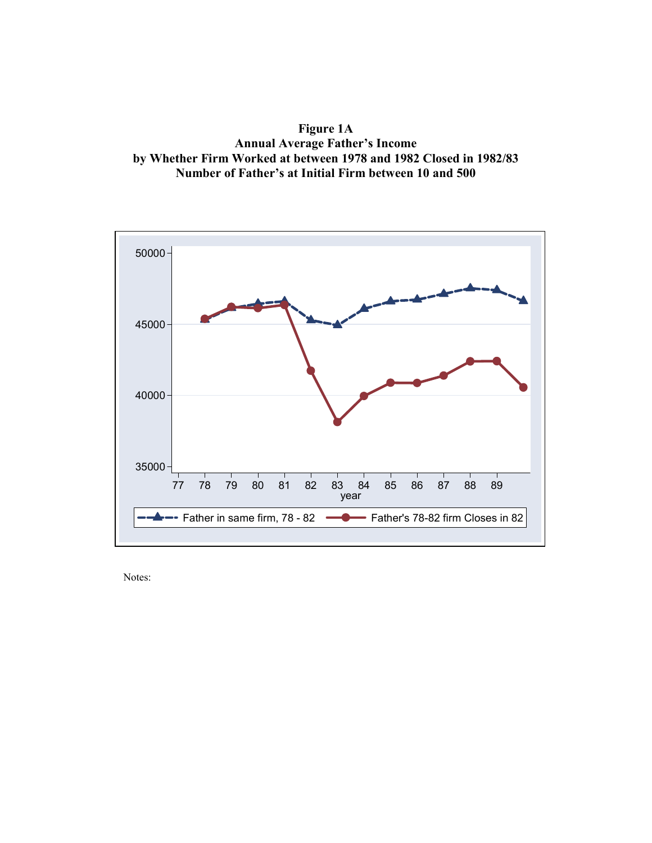**Figure 1A Annual Average Father's Income by Whether Firm Worked at between 1978 and 1982 Closed in 1982/83 Number of Father's at Initial Firm between 10 and 500** 

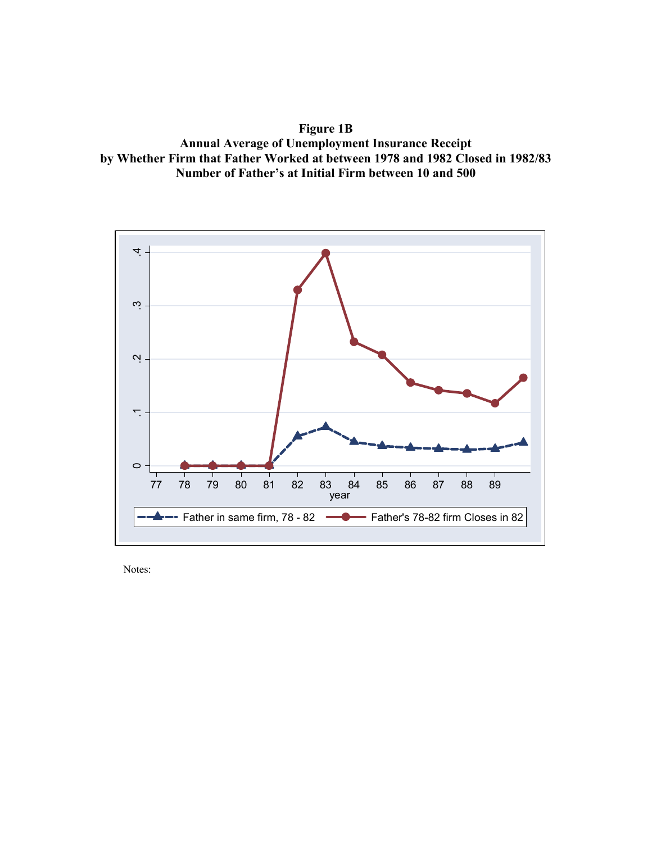**Figure 1B Annual Average of Unemployment Insurance Receipt by Whether Firm that Father Worked at between 1978 and 1982 Closed in 1982/83 Number of Father's at Initial Firm between 10 and 500** 

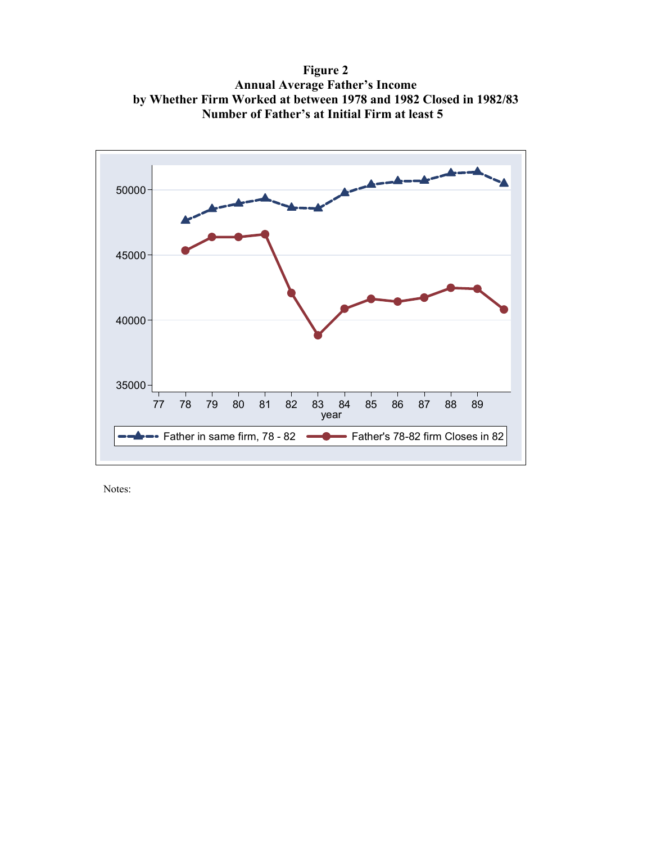**Figure 2 Annual Average Father's Income by Whether Firm Worked at between 1978 and 1982 Closed in 1982/83 Number of Father's at Initial Firm at least 5**

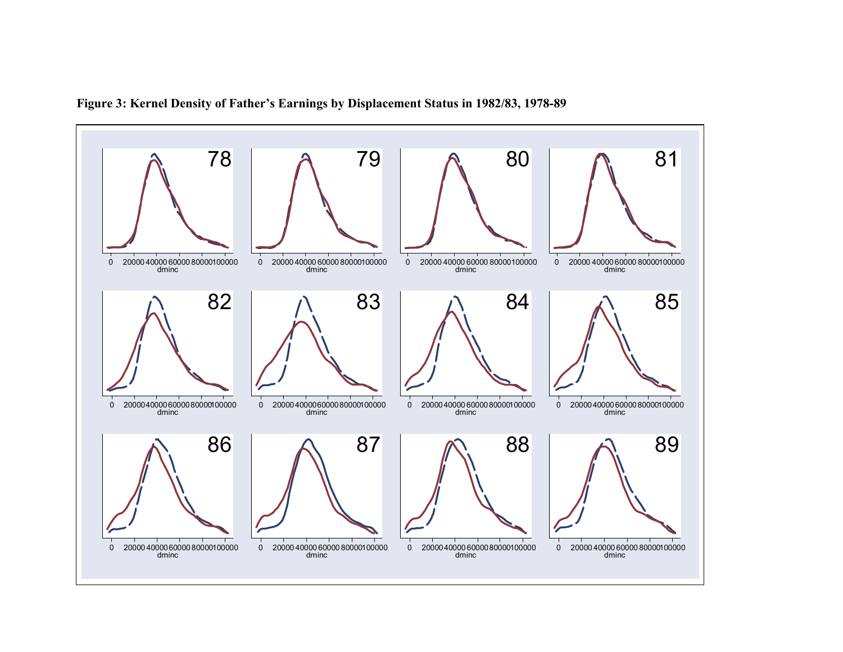

**Figure 3: Kernel Density of Father's Earnings by Displacement Status in 1982/83, 1978-89**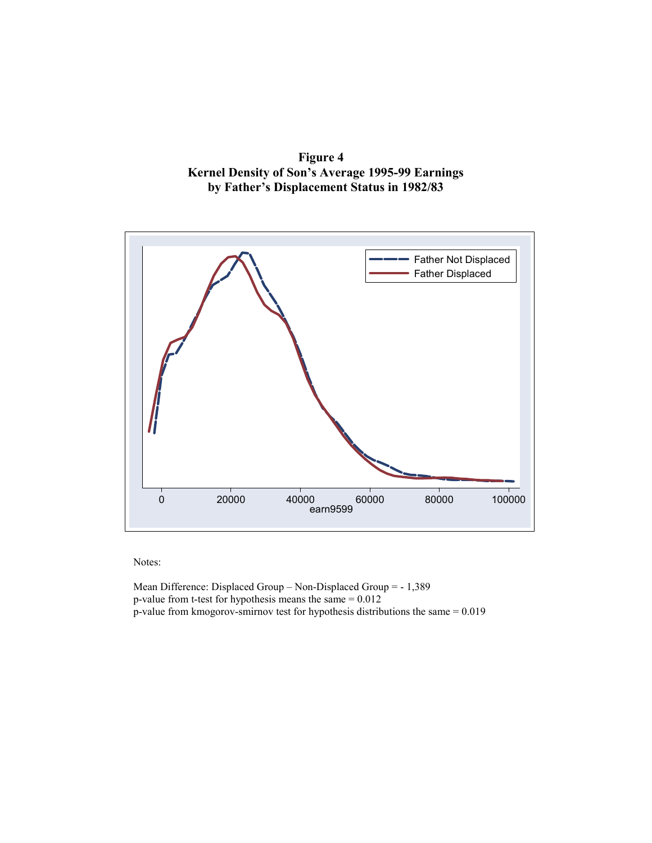



Mean Difference: Displaced Group – Non-Displaced Group = - 1,389 p-value from t-test for hypothesis means the same = 0.012 p-value from kmogorov-smirnov test for hypothesis distributions the same = 0.019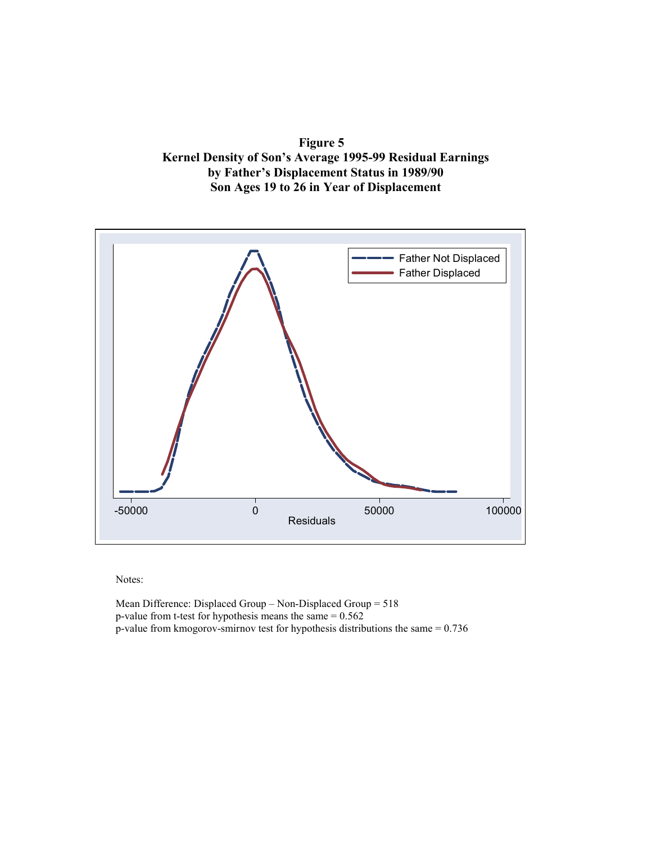**Figure 5 Kernel Density of Son's Average 1995-99 Residual Earnings by Father's Displacement Status in 1989/90 Son Ages 19 to 26 in Year of Displacement** 



Mean Difference: Displaced Group – Non-Displaced Group = 518 p-value from t-test for hypothesis means the same = 0.562 p-value from kmogorov-smirnov test for hypothesis distributions the same = 0.736